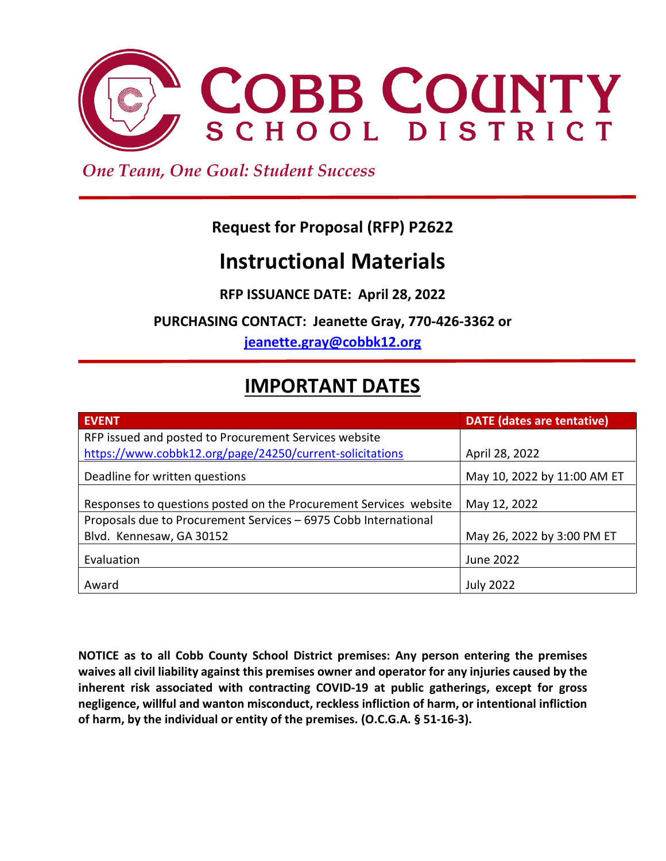

 *One Team, One Goal: Student Success*

# **Request for Proposal (RFP) P2622**

# **Instructional Materials**

**RFP ISSUANCE DATE: April 28, 2022**

**PURCHASING CONTACT: Jeanette Gray, 770-426-3362 or** 

**[jeanette.gray@cobbk12.org](mailto:jeanette.gray@cobbk12.org)**

# **IMPORTANT DATES**

| <b>EVENT</b>                                                      | <b>DATE</b> (dates are tentative) |
|-------------------------------------------------------------------|-----------------------------------|
| RFP issued and posted to Procurement Services website             |                                   |
| https://www.cobbk12.org/page/24250/current-solicitations          | April 28, 2022                    |
| Deadline for written questions                                    | May 10, 2022 by 11:00 AM ET       |
| Responses to questions posted on the Procurement Services website | May 12, 2022                      |
| Proposals due to Procurement Services - 6975 Cobb International   |                                   |
| Blvd. Kennesaw, GA 30152                                          | May 26, 2022 by 3:00 PM ET        |
| Evaluation                                                        | June 2022                         |
| Award                                                             | <b>July 2022</b>                  |

**NOTICE as to all Cobb County School District premises: Any person entering the premises waives all civil liability against this premises owner and operator for any injuries caused by the inherent risk associated with contracting COVID-19 at public gatherings, except for gross negligence, willful and wanton misconduct, reckless infliction of harm, or intentional infliction of harm, by the individual or entity of the premises. (O.C.G.A. § 51-16-3).**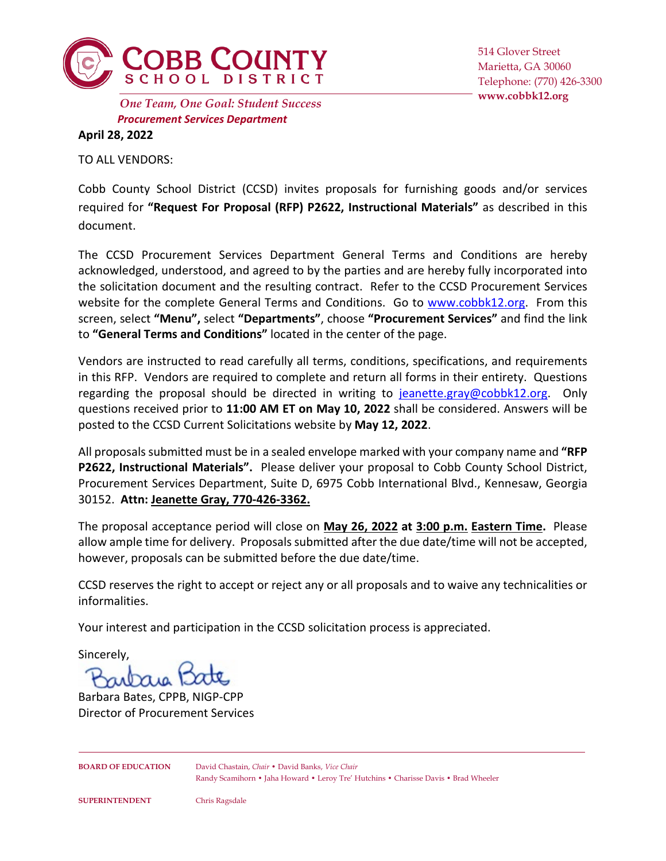

*Procurement Services Department* **www.cobbk12.org** *One Team, One Goal: Student Success*

514 Glover Street Marietta, GA 30060 Telephone: (770) 426-3300

**April 28, 2022**

TO ALL VENDORS:

Cobb County School District (CCSD) invites proposals for furnishing goods and/or services required for **"Request For Proposal (RFP) P2622, Instructional Materials"** as described in this document.

The CCSD Procurement Services Department General Terms and Conditions are hereby acknowledged, understood, and agreed to by the parties and are hereby fully incorporated into the solicitation document and the resulting contract. Refer to the CCSD Procurement Services website for the complete General Terms and Conditions. Go to [www.cobbk12.org.](http://www.cobbk12.org/) From this screen, select **"Menu",** select **"Departments"**, choose **"Procurement Services"** and find the link to **"General Terms and Conditions"** located in the center of the page.

Vendors are instructed to read carefully all terms, conditions, specifications, and requirements in this RFP. Vendors are required to complete and return all forms in their entirety. Questions regarding the proposal should be directed in writing to [jeanette.gray@cobbk12.org.](mailto:jeanette.gray@cobbk12.org) Only questions received prior to **11:00 AM ET on May 10, 2022** shall be considered. Answers will be posted to the CCSD Current Solicitations website by **May 12, 2022**.

All proposals submitted must be in a sealed envelope marked with your company name and **"RFP P2622, Instructional Materials".** Please deliver your proposal to Cobb County School District, Procurement Services Department, Suite D, 6975 Cobb International Blvd., Kennesaw, Georgia 30152. **Attn: Jeanette Gray, 770-426-3362.**

The proposal acceptance period will close on **May 26, 2022 at 3:00 p.m. Eastern Time.** Please allow ample time for delivery. Proposals submitted after the due date/time will not be accepted, however, proposals can be submitted before the due date/time.

CCSD reserves the right to accept or reject any or all proposals and to waive any technicalities or informalities.

Your interest and participation in the CCSD solicitation process is appreciated.

Sincerely,

uraig 1

Barbara Bates, CPPB, NIGP-CPP Director of Procurement Services

**BOARD OF EDUCATION** David Chastain, *Chair* • David Banks, *Vice Chair* Randy Scamihorn • Jaha Howard • Leroy Tre' Hutchins • Charisse Davis • Brad Wheeler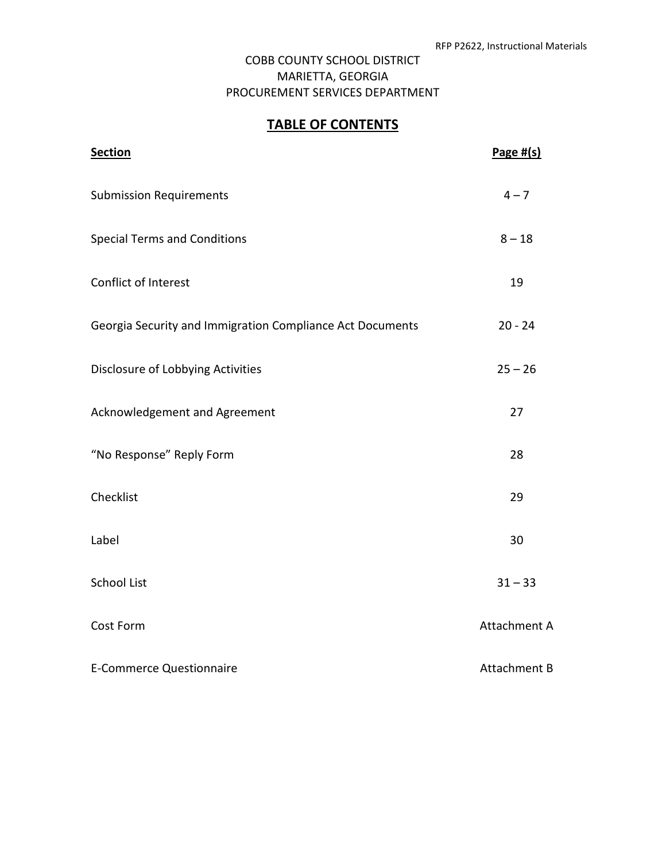## **TABLE OF CONTENTS**

| <b>Section</b>                                            | Page $#(s)$  |
|-----------------------------------------------------------|--------------|
| <b>Submission Requirements</b>                            | $4 - 7$      |
| <b>Special Terms and Conditions</b>                       | $8 - 18$     |
| Conflict of Interest                                      | 19           |
| Georgia Security and Immigration Compliance Act Documents | $20 - 24$    |
| Disclosure of Lobbying Activities                         | $25 - 26$    |
| Acknowledgement and Agreement                             | 27           |
| "No Response" Reply Form                                  | 28           |
| Checklist                                                 | 29           |
| Label                                                     | 30           |
| <b>School List</b>                                        | $31 - 33$    |
| Cost Form                                                 | Attachment A |
| <b>E-Commerce Questionnaire</b>                           | Attachment B |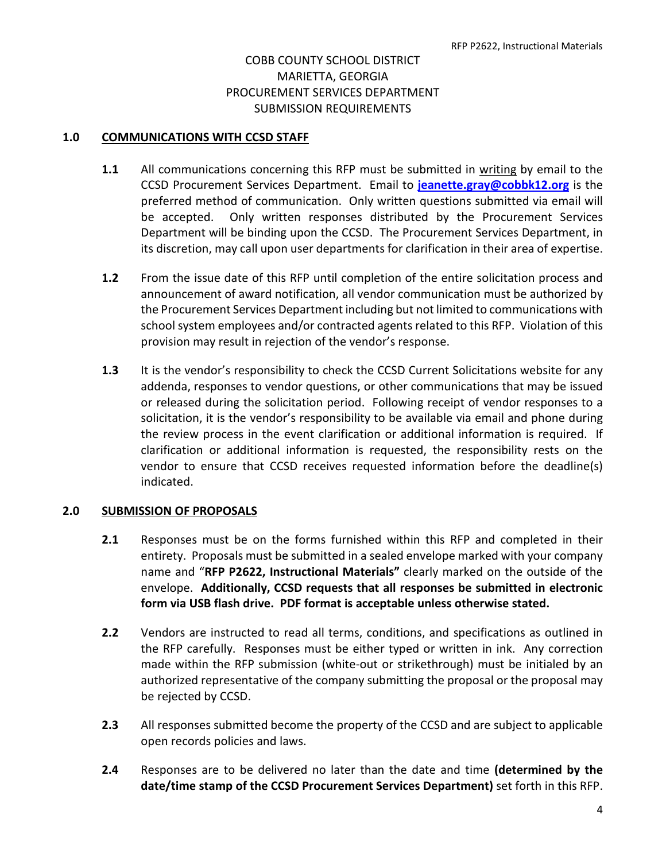#### **1.0 COMMUNICATIONS WITH CCSD STAFF**

- **1.1** All communications concerning this RFP must be submitted in writing by email to the CCSD Procurement Services Department. Email to **[jeanette.gray@cobbk12.org](mailto:jeanette.gray@cobbk12.org)** is the preferred method of communication. Only written questions submitted via email will be accepted. Only written responses distributed by the Procurement Services Department will be binding upon the CCSD. The Procurement Services Department, in its discretion, may call upon user departments for clarification in their area of expertise.
- **1.2** From the issue date of this RFP until completion of the entire solicitation process and announcement of award notification, all vendor communication must be authorized by the Procurement Services Department including but not limited to communications with school system employees and/or contracted agents related to this RFP. Violation of this provision may result in rejection of the vendor's response.
- **1.3** It is the vendor's responsibility to check the CCSD Current Solicitations website for any addenda, responses to vendor questions, or other communications that may be issued or released during the solicitation period. Following receipt of vendor responses to a solicitation, it is the vendor's responsibility to be available via email and phone during the review process in the event clarification or additional information is required. If clarification or additional information is requested, the responsibility rests on the vendor to ensure that CCSD receives requested information before the deadline(s) indicated.

#### **2.0 SUBMISSION OF PROPOSALS**

- **2.1** Responses must be on the forms furnished within this RFP and completed in their entirety. Proposals must be submitted in a sealed envelope marked with your company name and "**RFP P2622, Instructional Materials"** clearly marked on the outside of the envelope. **Additionally, CCSD requests that all responses be submitted in electronic form via USB flash drive. PDF format is acceptable unless otherwise stated.**
- **2.2** Vendors are instructed to read all terms, conditions, and specifications as outlined in the RFP carefully. Responses must be either typed or written in ink. Any correction made within the RFP submission (white-out or strikethrough) must be initialed by an authorized representative of the company submitting the proposal or the proposal may be rejected by CCSD.
- **2.3** All responses submitted become the property of the CCSD and are subject to applicable open records policies and laws.
- **2.4** Responses are to be delivered no later than the date and time **(determined by the date/time stamp of the CCSD Procurement Services Department)** set forth in this RFP.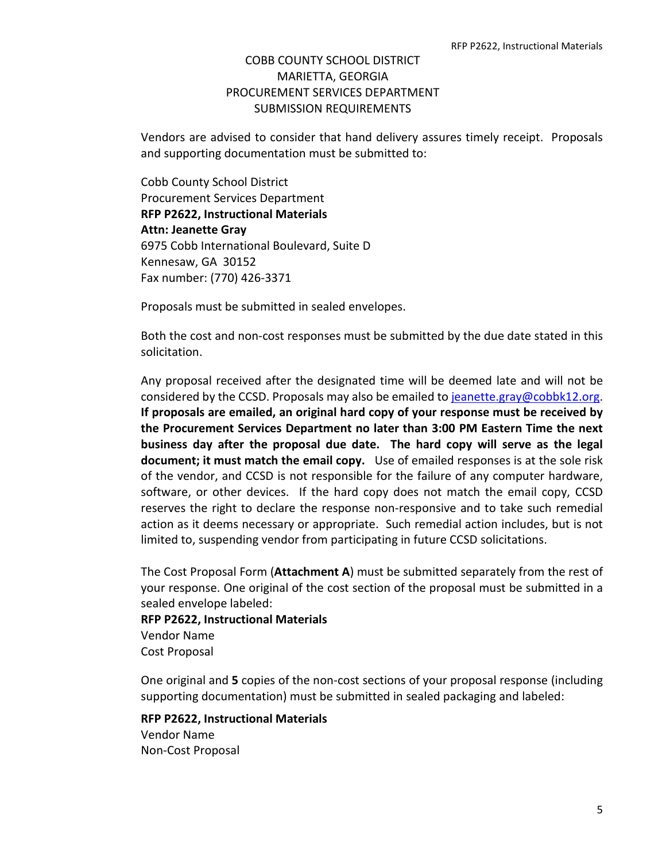Vendors are advised to consider that hand delivery assures timely receipt. Proposals and supporting documentation must be submitted to:

Cobb County School District Procurement Services Department **RFP P2622, Instructional Materials Attn: Jeanette Gray** 6975 Cobb International Boulevard, Suite D Kennesaw, GA 30152 Fax number: (770) 426-3371

Proposals must be submitted in sealed envelopes.

Both the cost and non-cost responses must be submitted by the due date stated in this solicitation.

Any proposal received after the designated time will be deemed late and will not be considered by the CCSD. Proposals may also be emailed to [jeanette.gray@cobbk12.org.](mailto:jeanette.gray@cobbk12.org) **If proposals are emailed, an original hard copy of your response must be received by the Procurement Services Department no later than 3:00 PM Eastern Time the next business day after the proposal due date. The hard copy will serve as the legal document; it must match the email copy.** Use of emailed responses is at the sole risk of the vendor, and CCSD is not responsible for the failure of any computer hardware, software, or other devices. If the hard copy does not match the email copy, CCSD reserves the right to declare the response non-responsive and to take such remedial action as it deems necessary or appropriate. Such remedial action includes, but is not limited to, suspending vendor from participating in future CCSD solicitations.

The Cost Proposal Form (**Attachment A**) must be submitted separately from the rest of your response. One original of the cost section of the proposal must be submitted in a sealed envelope labeled:

**RFP P2622, Instructional Materials** Vendor Name Cost Proposal

One original and **5** copies of the non-cost sections of your proposal response (including supporting documentation) must be submitted in sealed packaging and labeled:

**RFP P2622, Instructional Materials** Vendor Name Non-Cost Proposal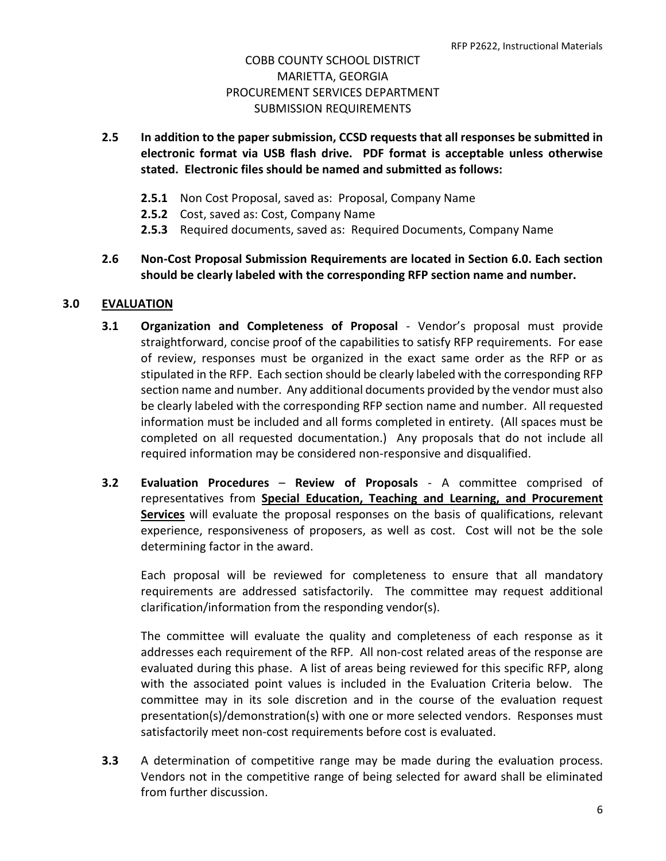- **2.5 In addition to the paper submission, CCSD requests that all responses be submitted in electronic format via USB flash drive. PDF format is acceptable unless otherwise stated. Electronic files should be named and submitted as follows:**
	- **2.5.1** Non Cost Proposal, saved as: Proposal, Company Name
	- **2.5.2** Cost, saved as: Cost, Company Name
	- **2.5.3** Required documents, saved as: Required Documents, Company Name
- **2.6 Non-Cost Proposal Submission Requirements are located in Section 6.0. Each section should be clearly labeled with the corresponding RFP section name and number.**

## **3.0 EVALUATION**

- **3.1 Organization and Completeness of Proposal** Vendor's proposal must provide straightforward, concise proof of the capabilities to satisfy RFP requirements. For ease of review, responses must be organized in the exact same order as the RFP or as stipulated in the RFP. Each section should be clearly labeled with the corresponding RFP section name and number. Any additional documents provided by the vendor must also be clearly labeled with the corresponding RFP section name and number. All requested information must be included and all forms completed in entirety. (All spaces must be completed on all requested documentation.) Any proposals that do not include all required information may be considered non-responsive and disqualified.
- **3.2 Evaluation Procedures Review of Proposals** A committee comprised of representatives from **Special Education, Teaching and Learning, and Procurement Services** will evaluate the proposal responses on the basis of qualifications, relevant experience, responsiveness of proposers, as well as cost. Cost will not be the sole determining factor in the award.

Each proposal will be reviewed for completeness to ensure that all mandatory requirements are addressed satisfactorily. The committee may request additional clarification/information from the responding vendor(s).

The committee will evaluate the quality and completeness of each response as it addresses each requirement of the RFP. All non-cost related areas of the response are evaluated during this phase. A list of areas being reviewed for this specific RFP, along with the associated point values is included in the Evaluation Criteria below. The committee may in its sole discretion and in the course of the evaluation request presentation(s)/demonstration(s) with one or more selected vendors. Responses must satisfactorily meet non-cost requirements before cost is evaluated.

**3.3** A determination of competitive range may be made during the evaluation process. Vendors not in the competitive range of being selected for award shall be eliminated from further discussion.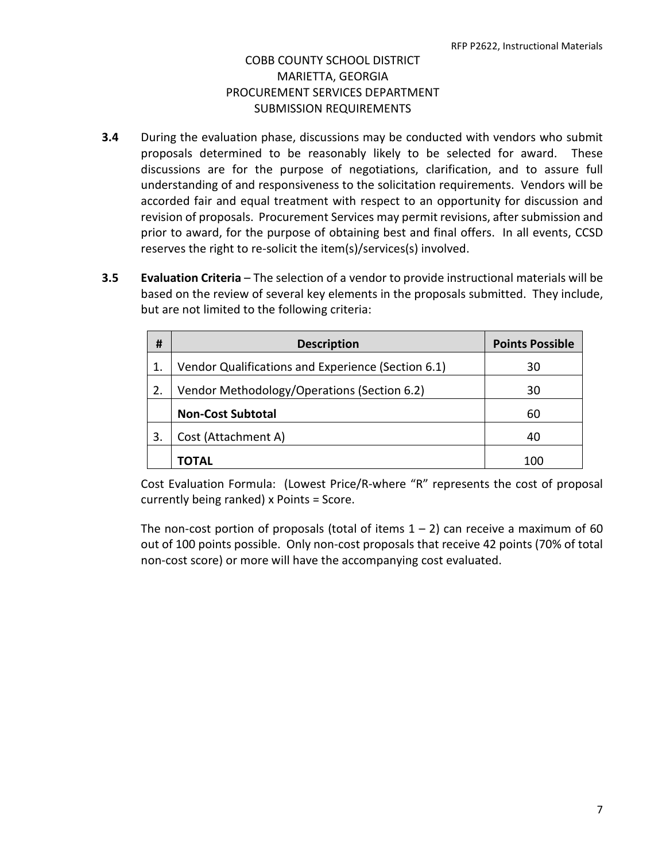- **3.4** During the evaluation phase, discussions may be conducted with vendors who submit proposals determined to be reasonably likely to be selected for award. These discussions are for the purpose of negotiations, clarification, and to assure full understanding of and responsiveness to the solicitation requirements. Vendors will be accorded fair and equal treatment with respect to an opportunity for discussion and revision of proposals. Procurement Services may permit revisions, after submission and prior to award, for the purpose of obtaining best and final offers. In all events, CCSD reserves the right to re-solicit the item(s)/services(s) involved.
- **3.5 Evaluation Criteria** The selection of a vendor to provide instructional materials will be based on the review of several key elements in the proposals submitted. They include, but are not limited to the following criteria:

| #  | <b>Description</b>                                 | <b>Points Possible</b> |
|----|----------------------------------------------------|------------------------|
|    | Vendor Qualifications and Experience (Section 6.1) | 30                     |
| 2. | Vendor Methodology/Operations (Section 6.2)        | 30                     |
|    | <b>Non-Cost Subtotal</b>                           | 60                     |
| 3. | Cost (Attachment A)                                | 40                     |
|    | ΤΟΤΑL                                              | 100                    |

Cost Evaluation Formula: (Lowest Price/R-where "R" represents the cost of proposal currently being ranked) x Points = Score.

The non-cost portion of proposals (total of items  $1 - 2$ ) can receive a maximum of 60 out of 100 points possible. Only non-cost proposals that receive 42 points (70% of total non-cost score) or more will have the accompanying cost evaluated.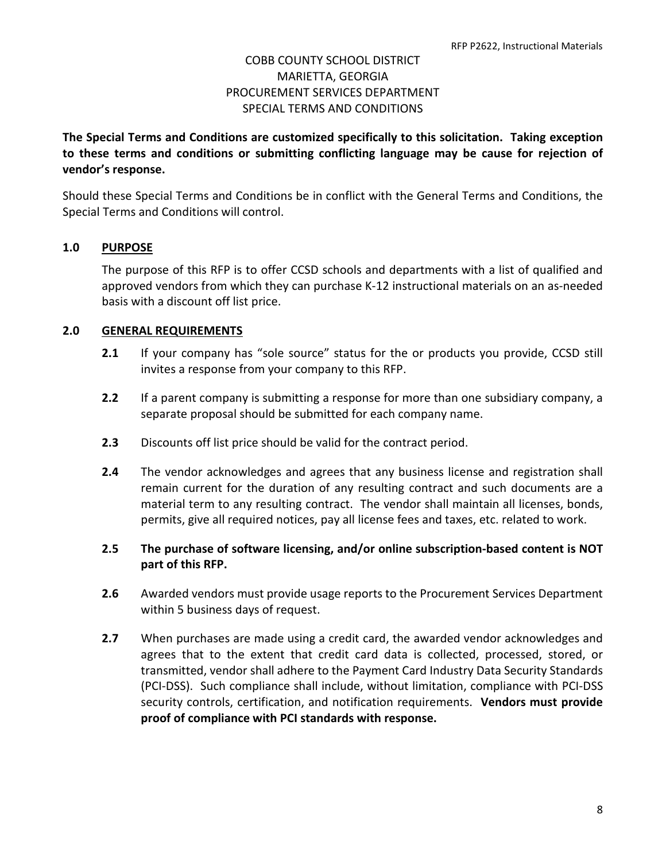**The Special Terms and Conditions are customized specifically to this solicitation. Taking exception to these terms and conditions or submitting conflicting language may be cause for rejection of vendor's response.**

Should these Special Terms and Conditions be in conflict with the General Terms and Conditions, the Special Terms and Conditions will control.

## **1.0 PURPOSE**

The purpose of this RFP is to offer CCSD schools and departments with a list of qualified and approved vendors from which they can purchase K-12 instructional materials on an as-needed basis with a discount off list price.

## **2.0 GENERAL REQUIREMENTS**

- **2.1** If your company has "sole source" status for the or products you provide, CCSD still invites a response from your company to this RFP.
- **2.2** If a parent company is submitting a response for more than one subsidiary company, a separate proposal should be submitted for each company name.
- **2.3** Discounts off list price should be valid for the contract period.
- **2.4** The vendor acknowledges and agrees that any business license and registration shall remain current for the duration of any resulting contract and such documents are a material term to any resulting contract. The vendor shall maintain all licenses, bonds, permits, give all required notices, pay all license fees and taxes, etc. related to work.
- **2.5 The purchase of software licensing, and/or online subscription-based content is NOT part of this RFP.**
- **2.6** Awarded vendors must provide usage reports to the Procurement Services Department within 5 business days of request.
- **2.7** When purchases are made using a credit card, the awarded vendor acknowledges and agrees that to the extent that credit card data is collected, processed, stored, or transmitted, vendor shall adhere to the Payment Card Industry Data Security Standards (PCI-DSS). Such compliance shall include, without limitation, compliance with PCI-DSS security controls, certification, and notification requirements. **Vendors must provide proof of compliance with PCI standards with response.**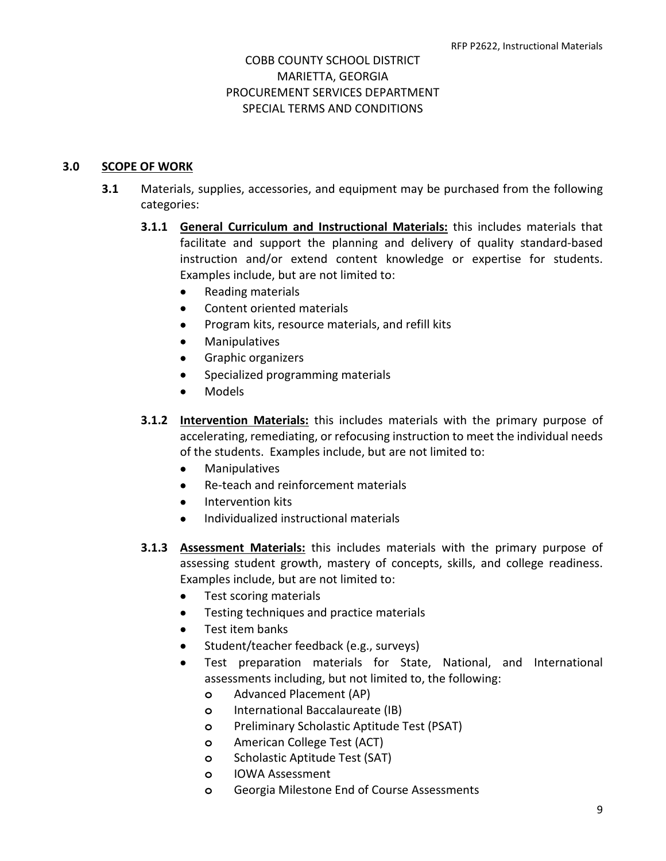#### **3.0 SCOPE OF WORK**

- **3.1** Materials, supplies, accessories, and equipment may be purchased from the following categories:
	- **3.1.1 General Curriculum and Instructional Materials:** this includes materials that facilitate and support the planning and delivery of quality standard-based instruction and/or extend content knowledge or expertise for students. Examples include, but are not limited to:
		- Reading materials
		- Content oriented materials
		- Program kits, resource materials, and refill kits
		- **Manipulatives**
		- Graphic organizers
		- Specialized programming materials
		- Models
	- **3.1.2 Intervention Materials:** this includes materials with the primary purpose of accelerating, remediating, or refocusing instruction to meet the individual needs of the students. Examples include, but are not limited to:
		- Manipulatives
		- Re-teach and reinforcement materials
		- Intervention kits
		- Individualized instructional materials
	- **3.1.3 Assessment Materials:** this includes materials with the primary purpose of assessing student growth, mastery of concepts, skills, and college readiness. Examples include, but are not limited to:
		- Test scoring materials
		- Testing techniques and practice materials
		- Test item banks
		- Student/teacher feedback (e.g., surveys)
		- Test preparation materials for State, National, and International assessments including, but not limited to, the following:
			- **o** Advanced Placement (AP)
			- **o** International Baccalaureate (IB)
			- **o** Preliminary Scholastic Aptitude Test (PSAT)
			- **o** American College Test (ACT)
			- **o** Scholastic Aptitude Test (SAT)
			- **o** IOWA Assessment
			- **o** Georgia Milestone End of Course Assessments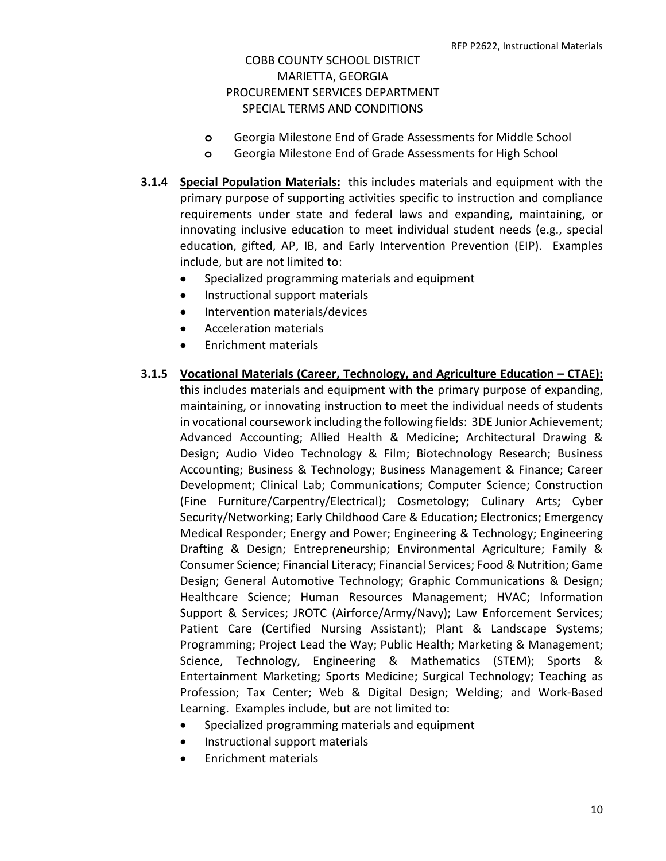- **o** Georgia Milestone End of Grade Assessments for Middle School
- **o** Georgia Milestone End of Grade Assessments for High School
- **3.1.4 Special Population Materials:** this includes materials and equipment with the primary purpose of supporting activities specific to instruction and compliance requirements under state and federal laws and expanding, maintaining, or innovating inclusive education to meet individual student needs (e.g., special education, gifted, AP, IB, and Early Intervention Prevention (EIP). Examples include, but are not limited to:
	- Specialized programming materials and equipment
	- Instructional support materials
	- Intervention materials/devices
	- Acceleration materials
	- Enrichment materials

#### **3.1.5 Vocational Materials (Career, Technology, and Agriculture Education – CTAE):**

this includes materials and equipment with the primary purpose of expanding, maintaining, or innovating instruction to meet the individual needs of students in vocational coursework including the following fields: 3DE Junior Achievement; Advanced Accounting; Allied Health & Medicine; Architectural Drawing & Design; Audio Video Technology & Film; Biotechnology Research; Business Accounting; Business & Technology; Business Management & Finance; Career Development; Clinical Lab; Communications; Computer Science; Construction (Fine Furniture/Carpentry/Electrical); Cosmetology; Culinary Arts; Cyber Security/Networking; Early Childhood Care & Education; Electronics; Emergency Medical Responder; Energy and Power; Engineering & Technology; Engineering Drafting & Design; Entrepreneurship; Environmental Agriculture; Family & Consumer Science; Financial Literacy; Financial Services; Food & Nutrition; Game Design; General Automotive Technology; Graphic Communications & Design; Healthcare Science; Human Resources Management; HVAC; Information Support & Services; JROTC (Airforce/Army/Navy); Law Enforcement Services; Patient Care (Certified Nursing Assistant); Plant & Landscape Systems; Programming; Project Lead the Way; Public Health; Marketing & Management; Science, Technology, Engineering & Mathematics (STEM); Sports & Entertainment Marketing; Sports Medicine; Surgical Technology; Teaching as Profession; Tax Center; Web & Digital Design; Welding; and Work-Based Learning. Examples include, but are not limited to:

- Specialized programming materials and equipment
- Instructional support materials
- Enrichment materials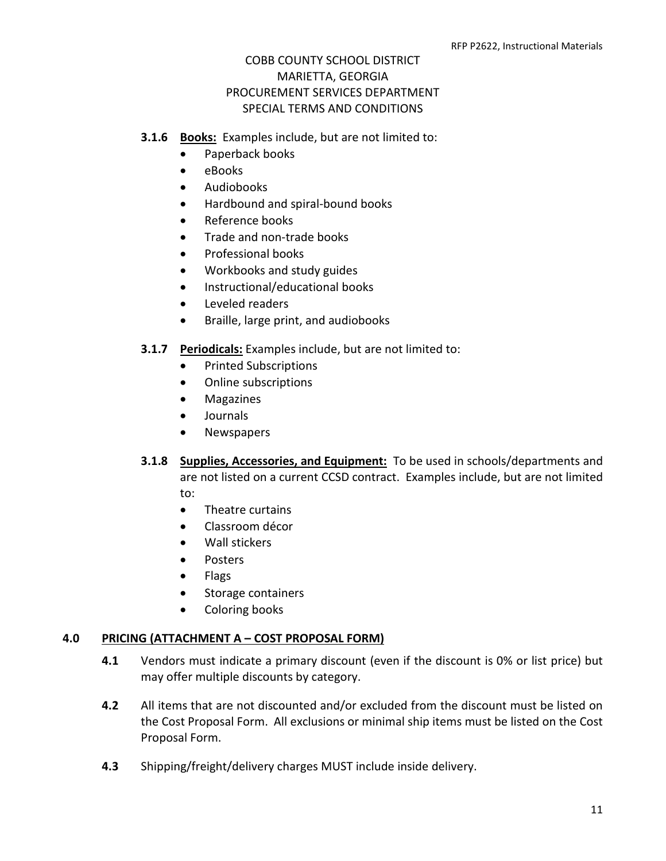#### **3.1.6 Books:** Examples include, but are not limited to:

- Paperback books
- eBooks
- Audiobooks
- Hardbound and spiral-bound books
- Reference books
- Trade and non-trade books
- Professional books
- Workbooks and study guides
- Instructional/educational books
- Leveled readers
- Braille, large print, and audiobooks

#### **3.1.7 Periodicals:** Examples include, but are not limited to:

- Printed Subscriptions
- Online subscriptions
- Magazines
- Journals
- Newspapers
- **3.1.8 Supplies, Accessories, and Equipment:** To be used in schools/departments and are not listed on a current CCSD contract. Examples include, but are not limited to:
	- Theatre curtains
	- Classroom décor
	- Wall stickers
	- Posters
	- Flags
	- Storage containers
	- Coloring books

#### **4.0 PRICING (ATTACHMENT A – COST PROPOSAL FORM)**

- **4.1** Vendors must indicate a primary discount (even if the discount is 0% or list price) but may offer multiple discounts by category.
- **4.2** All items that are not discounted and/or excluded from the discount must be listed on the Cost Proposal Form. All exclusions or minimal ship items must be listed on the Cost Proposal Form.
- **4.3** Shipping/freight/delivery charges MUST include inside delivery.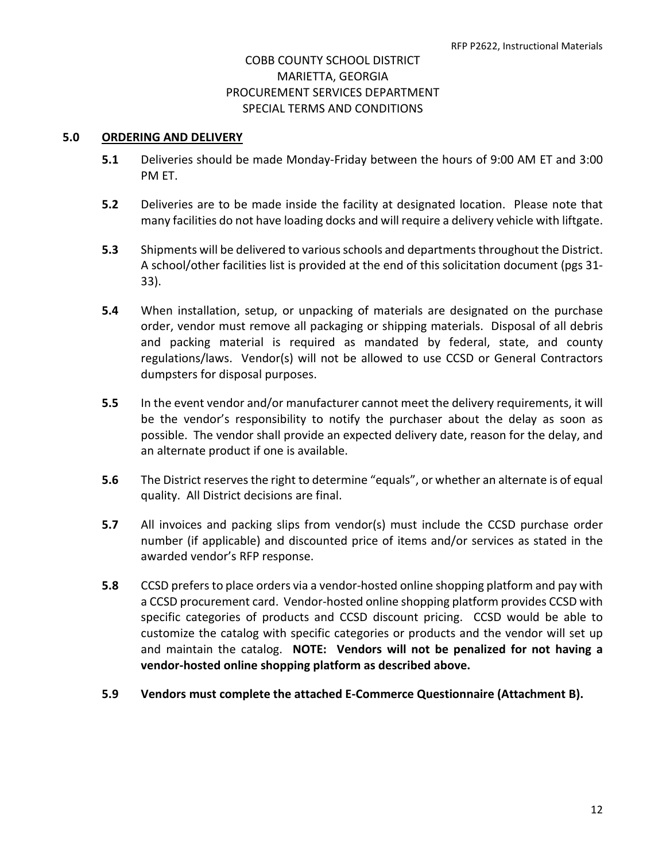#### **5.0 ORDERING AND DELIVERY**

- **5.1** Deliveries should be made Monday-Friday between the hours of 9:00 AM ET and 3:00 PM ET.
- **5.2** Deliveries are to be made inside the facility at designated location. Please note that many facilities do not have loading docks and will require a delivery vehicle with liftgate.
- **5.3** Shipments will be delivered to various schools and departments throughout the District. A school/other facilities list is provided at the end of this solicitation document (pgs 31- 33).
- **5.4** When installation, setup, or unpacking of materials are designated on the purchase order, vendor must remove all packaging or shipping materials. Disposal of all debris and packing material is required as mandated by federal, state, and county regulations/laws. Vendor(s) will not be allowed to use CCSD or General Contractors dumpsters for disposal purposes.
- **5.5** In the event vendor and/or manufacturer cannot meet the delivery requirements, it will be the vendor's responsibility to notify the purchaser about the delay as soon as possible. The vendor shall provide an expected delivery date, reason for the delay, and an alternate product if one is available.
- **5.6** The District reserves the right to determine "equals", or whether an alternate is of equal quality. All District decisions are final.
- **5.7** All invoices and packing slips from vendor(s) must include the CCSD purchase order number (if applicable) and discounted price of items and/or services as stated in the awarded vendor's RFP response.
- **5.8** CCSD prefers to place orders via a vendor-hosted online shopping platform and pay with a CCSD procurement card. Vendor-hosted online shopping platform provides CCSD with specific categories of products and CCSD discount pricing. CCSD would be able to customize the catalog with specific categories or products and the vendor will set up and maintain the catalog. **NOTE: Vendors will not be penalized for not having a vendor-hosted online shopping platform as described above.**
- **5.9 Vendors must complete the attached E-Commerce Questionnaire (Attachment B).**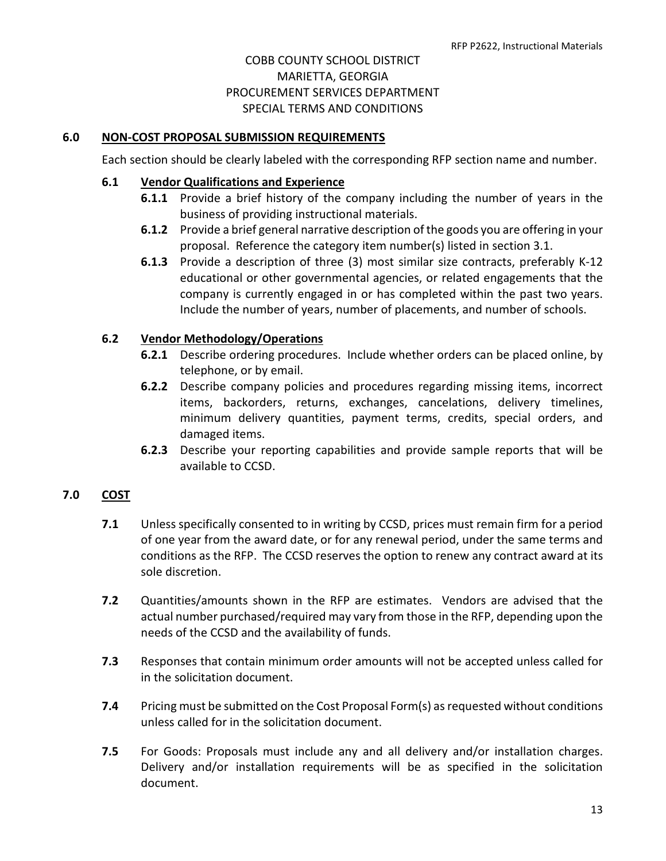#### **6.0 NON-COST PROPOSAL SUBMISSION REQUIREMENTS**

Each section should be clearly labeled with the corresponding RFP section name and number.

#### **6.1 Vendor Qualifications and Experience**

- **6.1.1** Provide a brief history of the company including the number of years in the business of providing instructional materials.
- **6.1.2** Provide a brief general narrative description of the goods you are offering in your proposal. Reference the category item number(s) listed in section 3.1.
- **6.1.3** Provide a description of three (3) most similar size contracts, preferably K-12 educational or other governmental agencies, or related engagements that the company is currently engaged in or has completed within the past two years. Include the number of years, number of placements, and number of schools.

#### **6.2 Vendor Methodology/Operations**

- **6.2.1** Describe ordering procedures. Include whether orders can be placed online, by telephone, or by email.
- **6.2.2** Describe company policies and procedures regarding missing items, incorrect items, backorders, returns, exchanges, cancelations, delivery timelines, minimum delivery quantities, payment terms, credits, special orders, and damaged items.
- **6.2.3** Describe your reporting capabilities and provide sample reports that will be available to CCSD.

#### **7.0 COST**

- **7.1** Unless specifically consented to in writing by CCSD, prices must remain firm for a period of one year from the award date, or for any renewal period, under the same terms and conditions as the RFP. The CCSD reserves the option to renew any contract award at its sole discretion.
- **7.2** Quantities/amounts shown in the RFP are estimates. Vendors are advised that the actual number purchased/required may vary from those in the RFP, depending upon the needs of the CCSD and the availability of funds.
- **7.3** Responses that contain minimum order amounts will not be accepted unless called for in the solicitation document.
- **7.4** Pricing must be submitted on the Cost Proposal Form(s) as requested without conditions unless called for in the solicitation document.
- **7.5** For Goods: Proposals must include any and all delivery and/or installation charges. Delivery and/or installation requirements will be as specified in the solicitation document.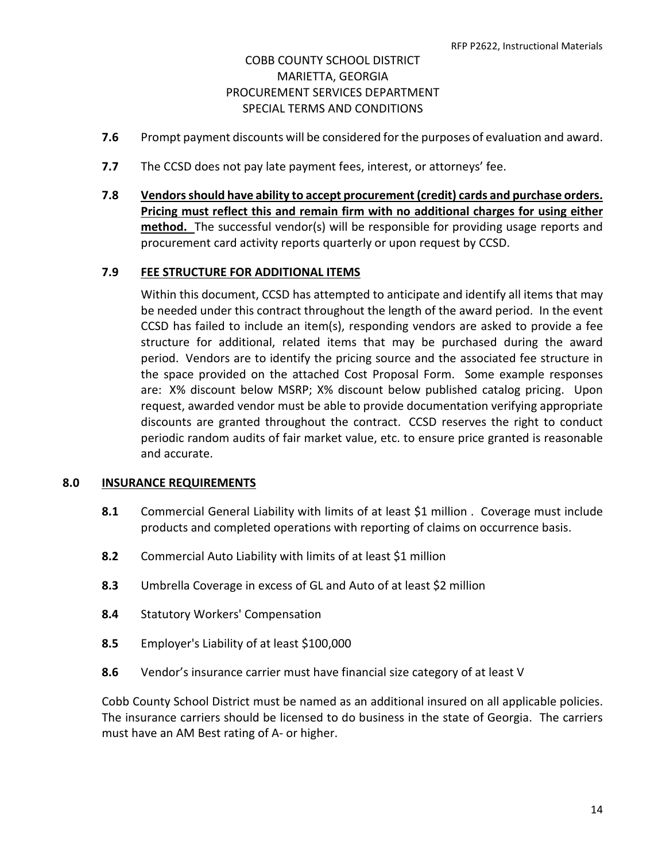- **7.6** Prompt payment discounts will be considered for the purposes of evaluation and award.
- **7.7** The CCSD does not pay late payment fees, interest, or attorneys' fee.
- **7.8 Vendors should have ability to accept procurement (credit) cards and purchase orders. Pricing must reflect this and remain firm with no additional charges for using either method.** The successful vendor(s) will be responsible for providing usage reports and procurement card activity reports quarterly or upon request by CCSD.

#### **7.9 FEE STRUCTURE FOR ADDITIONAL ITEMS**

Within this document, CCSD has attempted to anticipate and identify all items that may be needed under this contract throughout the length of the award period. In the event CCSD has failed to include an item(s), responding vendors are asked to provide a fee structure for additional, related items that may be purchased during the award period. Vendors are to identify the pricing source and the associated fee structure in the space provided on the attached Cost Proposal Form. Some example responses are: X% discount below MSRP; X% discount below published catalog pricing. Upon request, awarded vendor must be able to provide documentation verifying appropriate discounts are granted throughout the contract. CCSD reserves the right to conduct periodic random audits of fair market value, etc. to ensure price granted is reasonable and accurate.

#### **8.0 INSURANCE REQUIREMENTS**

- **8.1** Commercial General Liability with limits of at least \$1 million . Coverage must include products and completed operations with reporting of claims on occurrence basis.
- **8.2** Commercial Auto Liability with limits of at least \$1 million
- **8.3** Umbrella Coverage in excess of GL and Auto of at least \$2 million
- **8.4** Statutory Workers' Compensation
- **8.5** Employer's Liability of at least \$100,000
- **8.6** Vendor's insurance carrier must have financial size category of at least V

Cobb County School District must be named as an additional insured on all applicable policies. The insurance carriers should be licensed to do business in the state of Georgia. The carriers must have an AM Best rating of A- or higher.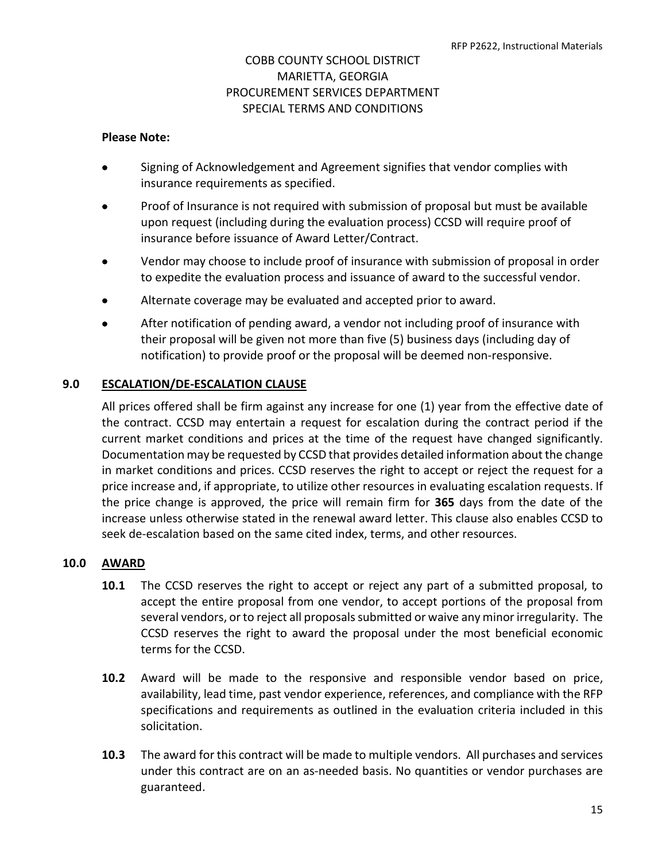#### **Please Note:**

- Signing of Acknowledgement and Agreement signifies that vendor complies with insurance requirements as specified.
- Proof of Insurance is not required with submission of proposal but must be available upon request (including during the evaluation process) CCSD will require proof of insurance before issuance of Award Letter/Contract.
- Vendor may choose to include proof of insurance with submission of proposal in order to expedite the evaluation process and issuance of award to the successful vendor.
- Alternate coverage may be evaluated and accepted prior to award.
- After notification of pending award, a vendor not including proof of insurance with their proposal will be given not more than five (5) business days (including day of notification) to provide proof or the proposal will be deemed non-responsive.

#### **9.0 ESCALATION/DE-ESCALATION CLAUSE**

All prices offered shall be firm against any increase for one (1) year from the effective date of the contract. CCSD may entertain a request for escalation during the contract period if the current market conditions and prices at the time of the request have changed significantly. Documentation may be requested by CCSD that provides detailed information about the change in market conditions and prices. CCSD reserves the right to accept or reject the request for a price increase and, if appropriate, to utilize other resources in evaluating escalation requests. If the price change is approved, the price will remain firm for **365** days from the date of the increase unless otherwise stated in the renewal award letter. This clause also enables CCSD to seek de-escalation based on the same cited index, terms, and other resources.

#### **10.0 AWARD**

- **10.1** The CCSD reserves the right to accept or reject any part of a submitted proposal, to accept the entire proposal from one vendor, to accept portions of the proposal from several vendors, or to reject all proposals submitted or waive any minor irregularity. The CCSD reserves the right to award the proposal under the most beneficial economic terms for the CCSD.
- **10.2** Award will be made to the responsive and responsible vendor based on price, availability, lead time, past vendor experience, references, and compliance with the RFP specifications and requirements as outlined in the evaluation criteria included in this solicitation.
- **10.3** The award for this contract will be made to multiple vendors. All purchases and services under this contract are on an as-needed basis. No quantities or vendor purchases are guaranteed.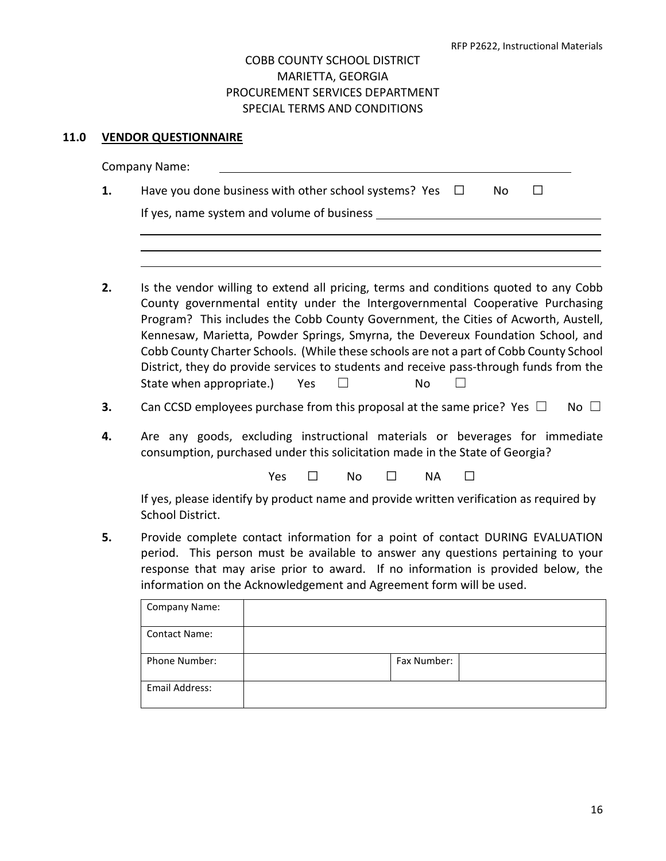## **11.0 VENDOR QUESTIONNAIRE**

|    | <b>Company Name:</b>                                                                                                                                                                                                                                                                                                                                                                                                                                                                                                                                                        |
|----|-----------------------------------------------------------------------------------------------------------------------------------------------------------------------------------------------------------------------------------------------------------------------------------------------------------------------------------------------------------------------------------------------------------------------------------------------------------------------------------------------------------------------------------------------------------------------------|
| 1. | Have you done business with other school systems? Yes<br>$\Box$<br>No<br>$\perp$                                                                                                                                                                                                                                                                                                                                                                                                                                                                                            |
|    | If yes, name system and volume of business _____                                                                                                                                                                                                                                                                                                                                                                                                                                                                                                                            |
|    |                                                                                                                                                                                                                                                                                                                                                                                                                                                                                                                                                                             |
| 2. | Is the vendor willing to extend all pricing, terms and conditions quoted to any Cobb<br>County governmental entity under the Intergovernmental Cooperative Purchasing<br>Program? This includes the Cobb County Government, the Cities of Acworth, Austell,<br>Kennesaw, Marietta, Powder Springs, Smyrna, the Devereux Foundation School, and<br>Cobb County Charter Schools. (While these schools are not a part of Cobb County School<br>District, they do provide services to students and receive pass-through funds from the<br>State when appropriate.)<br>Yes<br>No |
| 3. | Can CCSD employees purchase from this proposal at the same price? Yes $\Box$<br>No $\square$                                                                                                                                                                                                                                                                                                                                                                                                                                                                                |
| 4. | Are any goods, excluding instructional materials or beverages for immediate<br>consumption, purchased under this solicitation made in the State of Georgia?                                                                                                                                                                                                                                                                                                                                                                                                                 |
|    | Yes<br>No<br><b>NA</b>                                                                                                                                                                                                                                                                                                                                                                                                                                                                                                                                                      |
|    | If yes, please identify by product name and provide written verification as required by<br>School District.                                                                                                                                                                                                                                                                                                                                                                                                                                                                 |
| 5. | Provide complete contact information for a point of contact DURING EVALUATION<br>period. This person must be available to answer any questions pertaining to your<br>response that may arise prior to award. If no information is provided below, the<br>information on the Acknowledgement and Agreement form will be used.                                                                                                                                                                                                                                                |
|    | Company Name:                                                                                                                                                                                                                                                                                                                                                                                                                                                                                                                                                               |
|    | <b>Contact Name:</b>                                                                                                                                                                                                                                                                                                                                                                                                                                                                                                                                                        |
|    | Phone Number:<br>Fax Number:                                                                                                                                                                                                                                                                                                                                                                                                                                                                                                                                                |
|    | Email Address:                                                                                                                                                                                                                                                                                                                                                                                                                                                                                                                                                              |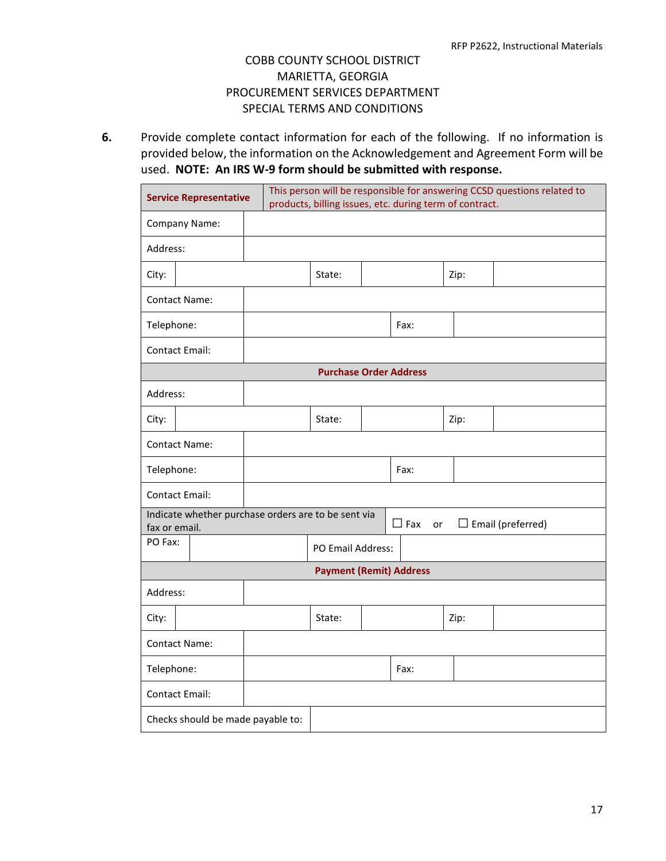**6.** Provide complete contact information for each of the following. If no information is provided below, the information on the Acknowledgement and Agreement Form will be used. **NOTE: An IRS W-9 form should be submitted with response.**

| This person will be responsible for answering CCSD questions related to<br><b>Service Representative</b><br>products, billing issues, etc. during term of contract. |  |  |                                |  |                  |      |                          |
|---------------------------------------------------------------------------------------------------------------------------------------------------------------------|--|--|--------------------------------|--|------------------|------|--------------------------|
| Company Name:                                                                                                                                                       |  |  |                                |  |                  |      |                          |
| Address:                                                                                                                                                            |  |  |                                |  |                  |      |                          |
| City:                                                                                                                                                               |  |  | State:                         |  |                  | Zip: |                          |
| <b>Contact Name:</b>                                                                                                                                                |  |  |                                |  |                  |      |                          |
| Telephone:                                                                                                                                                          |  |  |                                |  | Fax:             |      |                          |
| Contact Email:                                                                                                                                                      |  |  |                                |  |                  |      |                          |
|                                                                                                                                                                     |  |  | <b>Purchase Order Address</b>  |  |                  |      |                          |
| Address:                                                                                                                                                            |  |  |                                |  |                  |      |                          |
| City:                                                                                                                                                               |  |  | State:                         |  |                  | Zip: |                          |
| <b>Contact Name:</b>                                                                                                                                                |  |  |                                |  |                  |      |                          |
| Telephone:                                                                                                                                                          |  |  |                                |  | Fax:             |      |                          |
| <b>Contact Email:</b>                                                                                                                                               |  |  |                                |  |                  |      |                          |
| Indicate whether purchase orders are to be sent via<br>fax or email.                                                                                                |  |  |                                |  | $\Box$ Fax<br>or |      | $\Box$ Email (preferred) |
| PO Fax:                                                                                                                                                             |  |  | PO Email Address:              |  |                  |      |                          |
|                                                                                                                                                                     |  |  | <b>Payment (Remit) Address</b> |  |                  |      |                          |
| Address:                                                                                                                                                            |  |  |                                |  |                  |      |                          |
| City:                                                                                                                                                               |  |  | State:                         |  |                  | Zip: |                          |
| <b>Contact Name:</b>                                                                                                                                                |  |  |                                |  |                  |      |                          |
| Telephone:                                                                                                                                                          |  |  |                                |  | Fax:             |      |                          |
| <b>Contact Email:</b>                                                                                                                                               |  |  |                                |  |                  |      |                          |
| Checks should be made payable to:                                                                                                                                   |  |  |                                |  |                  |      |                          |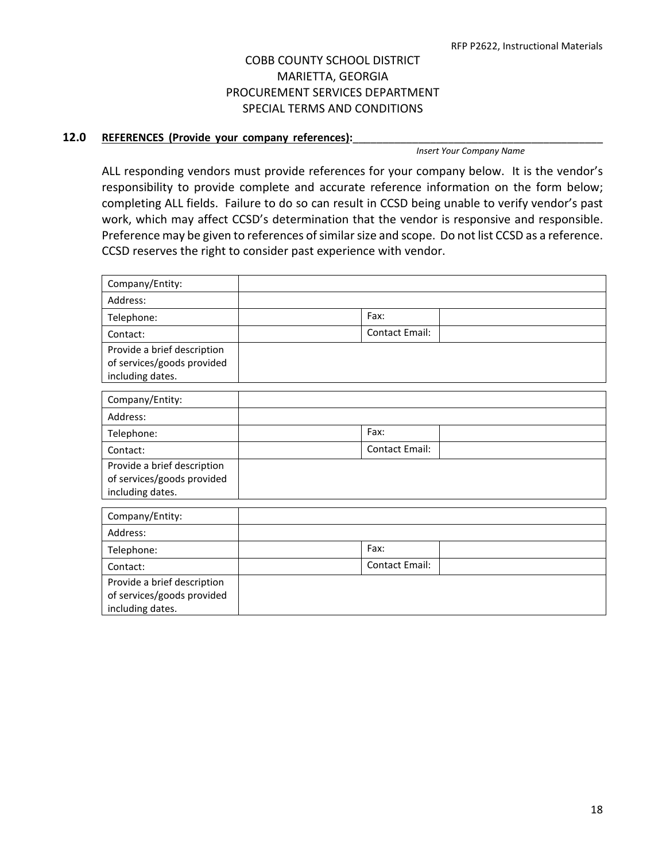#### 12.0 REFERENCES (Provide your company references):

*Insert Your Company Name* 

ALL responding vendors must provide references for your company below. It is the vendor's responsibility to provide complete and accurate reference information on the form below; completing ALL fields. Failure to do so can result in CCSD being unable to verify vendor's past work, which may affect CCSD's determination that the vendor is responsive and responsible. Preference may be given to references of similar size and scope. Do not list CCSD as a reference. CCSD reserves the right to consider past experience with vendor.

| Company/Entity:                                                               |                       |
|-------------------------------------------------------------------------------|-----------------------|
| Address:                                                                      |                       |
| Telephone:                                                                    | Fax:                  |
| Contact:                                                                      | <b>Contact Email:</b> |
| Provide a brief description<br>of services/goods provided<br>including dates. |                       |
| Company/Entity:                                                               |                       |
| Address:                                                                      |                       |
| Telephone:                                                                    | Fax:                  |
| Contact:                                                                      | <b>Contact Email:</b> |
| Provide a brief description<br>of services/goods provided<br>including dates. |                       |
| Company/Entity:                                                               |                       |
| Address:                                                                      |                       |
| Telephone:                                                                    | Fax:                  |
| Contact:                                                                      | Contact Email:        |
| Provide a brief description<br>of services/goods provided<br>including dates. |                       |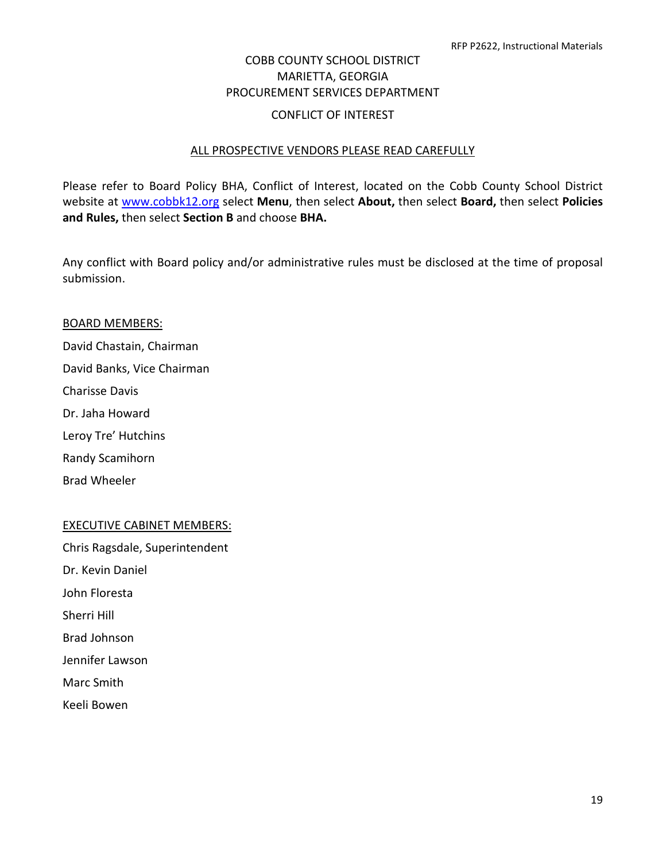## COBB COUNTY SCHOOL DISTRICT MARIETTA, GEORGIA PROCUREMENT SERVICES DEPARTMENT CONFLICT OF INTEREST

## ALL PROSPECTIVE VENDORS PLEASE READ CAREFULLY

Please refer to Board Policy BHA, Conflict of Interest, located on the Cobb County School District website at [www.cobbk12.org](http://www.cobbk12.org/) select **Menu**, then select **About,** then select **Board,** then select **Policies and Rules,** then select **Section B** and choose **BHA.**

Any conflict with Board policy and/or administrative rules must be disclosed at the time of proposal submission.

#### BOARD MEMBERS:

David Chastain, Chairman David Banks, Vice Chairman Charisse Davis Dr. Jaha Howard Leroy Tre' Hutchins Randy Scamihorn

Brad Wheeler

#### EXECUTIVE CABINET MEMBERS:

Chris Ragsdale, Superintendent Dr. Kevin Daniel John Floresta Sherri Hill Brad Johnson Jennifer Lawson Marc Smith Keeli Bowen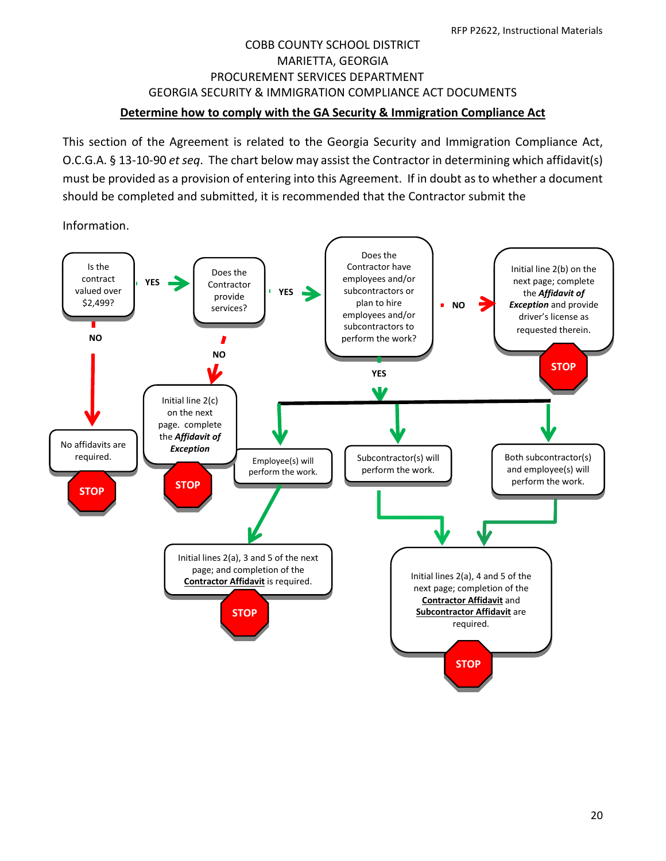## COBB COUNTY SCHOOL DISTRICT MARIETTA, GEORGIA PROCUREMENT SERVICES DEPARTMENT GEORGIA SECURITY & IMMIGRATION COMPLIANCE ACT DOCUMENTS **Determine how to comply with the GA Security & Immigration Compliance Act**

This section of the Agreement is related to the Georgia Security and Immigration Compliance Act, O.C.G.A. § 13-10-90 *et seq*. The chart below may assist the Contractor in determining which affidavit(s) must be provided as a provision of entering into this Agreement. If in doubt as to whether a document should be completed and submitted, it is recommended that the Contractor submit the

Information.

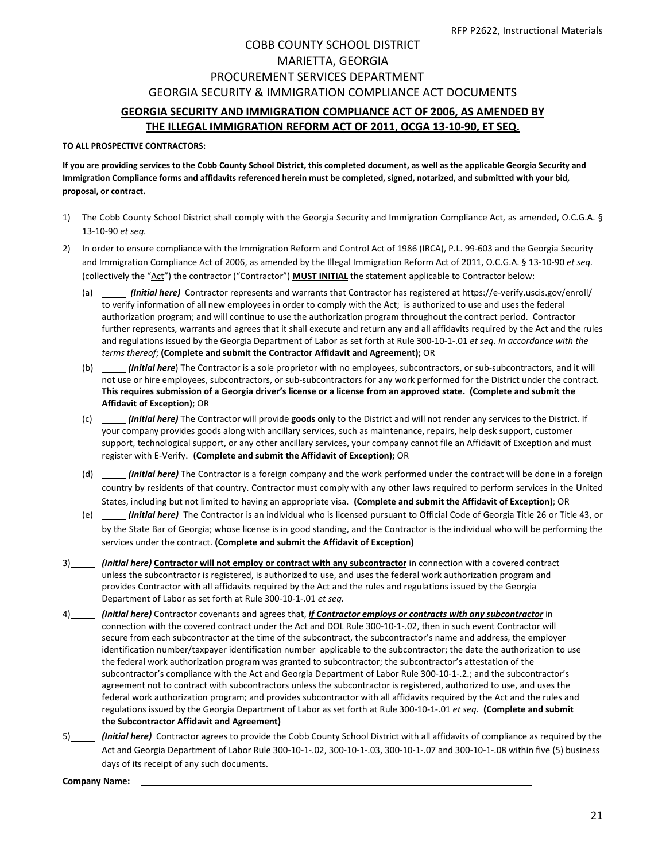## COBB COUNTY SCHOOL DISTRICT MARIETTA, GEORGIA PROCUREMENT SERVICES DEPARTMENT GEORGIA SECURITY & IMMIGRATION COMPLIANCE ACT DOCUMENTS **GEORGIA SECURITY AND IMMIGRATION COMPLIANCE ACT OF 2006, AS AMENDED BY THE ILLEGAL IMMIGRATION REFORM ACT OF 2011, OCGA 13-10-90, ET SEQ.**

## **TO ALL PROSPECTIVE CONTRACTORS:**

**If you are providing services to the Cobb County School District, this completed document, as well as the applicable Georgia Security and Immigration Compliance forms and affidavits referenced herein must be completed, signed, notarized, and submitted with your bid, proposal, or contract.**

- 1) The Cobb County School District shall comply with the Georgia Security and Immigration Compliance Act, as amended, O.C.G.A. § 13-10-90 *et seq.*
- 2) In order to ensure compliance with the Immigration Reform and Control Act of 1986 (IRCA), P.L. 99-603 and the Georgia Security and Immigration Compliance Act of 2006, as amended by the Illegal Immigration Reform Act of 2011, O.C.G.A. § 13-10-90 *et seq.* (collectively the "Act") the contractor ("Contractor") **MUST INITIAL** the statement applicable to Contractor below:
	- (a) *(Initial here)* Contractor represents and warrants that Contractor has registered a[t https://e-verify.uscis.gov/enroll/](https://e-verify.uscis.gov/enroll/) to verify information of all new employees in order to comply with the Act; is authorized to use and uses the federal authorization program; and will continue to use the authorization program throughout the contract period. Contractor further represents, warrants and agrees that it shall execute and return any and all affidavits required by the Act and the rules and regulations issued by the Georgia Department of Labor as set forth at Rule 300-10-1-.01 *et seq. in accordance with the terms thereof*; **(Complete and submit the Contractor Affidavit and Agreement);** OR
	- (b) *(Initial here*) The Contractor is a sole proprietor with no employees, subcontractors, or sub-subcontractors, and it will not use or hire employees, subcontractors, or sub-subcontractors for any work performed for the District under the contract. **This requires submission of a Georgia driver's license or a license from an approved state. (Complete and submit the Affidavit of Exception)**; OR
	- (c) *(Initial here)* The Contractor will provide **goods only** to the District and will not render any services to the District. If your company provides goods along with ancillary services, such as maintenance, repairs, help desk support, customer support, technological support, or any other ancillary services, your company cannot file an Affidavit of Exception and must register with E-Verify. **(Complete and submit the Affidavit of Exception);** OR
	- (d) *(Initial here)* The Contractor is a foreign company and the work performed under the contract will be done in a foreign country by residents of that country. Contractor must comply with any other laws required to perform services in the United States, including but not limited to having an appropriate visa. **(Complete and submit the Affidavit of Exception)**; OR
	- (e) *(Initial here)* The Contractor is an individual who is licensed pursuant to Official Code of Georgia Title 26 or Title 43, or by the State Bar of Georgia; whose license is in good standing, and the Contractor is the individual who will be performing the services under the contract. **(Complete and submit the Affidavit of Exception)**
- 3) *(Initial here)* **Contractor will not employ or contract with any subcontractor** in connection with a covered contract unless the subcontractor is registered, is authorized to use, and uses the federal work authorization program and provides Contractor with all affidavits required by the Act and the rules and regulations issued by the Georgia Department of Labor as set forth at Rule 300-10-1-.01 *et seq.*
- 4) *(Initial here)* Contractor covenants and agrees that, *if Contractor employs or contracts with any subcontractor* in connection with the covered contract under the Act and DOL Rule 300-10-1-.02, then in such event Contractor will secure from each subcontractor at the time of the subcontract, the subcontractor's name and address, the employer identification number/taxpayer identification number applicable to the subcontractor; the date the authorization to use the federal work authorization program was granted to subcontractor; the subcontractor's attestation of the subcontractor's compliance with the Act and Georgia Department of Labor Rule 300-10-1-.2.; and the subcontractor's agreement not to contract with subcontractors unless the subcontractor is registered, authorized to use, and uses the federal work authorization program; and provides subcontractor with all affidavits required by the Act and the rules and regulations issued by the Georgia Department of Labor as set forth at Rule 300-10-1-.01 *et seq.* **(Complete and submit the Subcontractor Affidavit and Agreement)**
- 5) *(Initial here)* Contractor agrees to provide the Cobb County School District with all affidavits of compliance as required by the Act and Georgia Department of Labor Rule 300-10-1-.02, 300-10-1-.03, 300-10-1-.07 and 300-10-1-.08 within five (5) business days of its receipt of any such documents.

**Company Name:**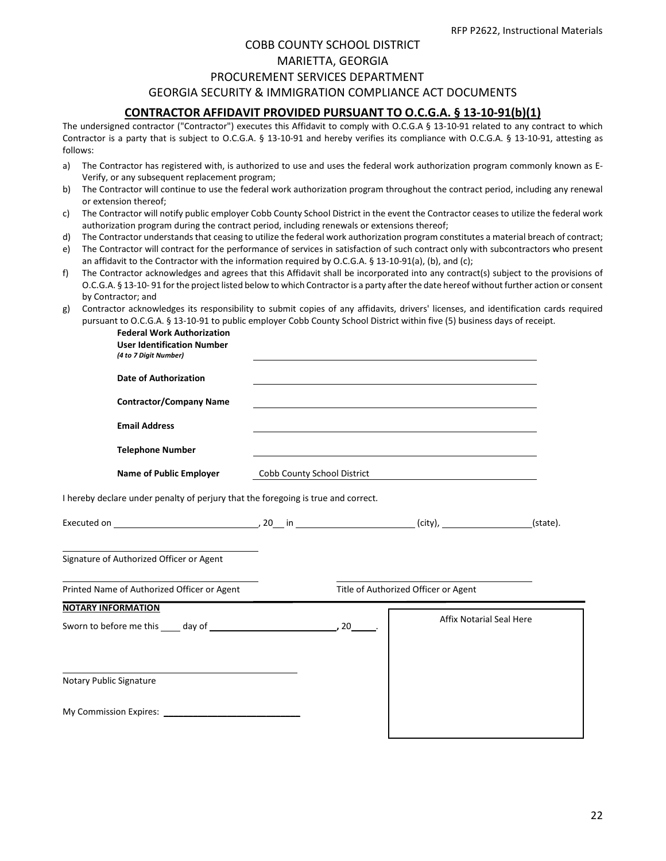## COBB COUNTY SCHOOL DISTRICT

## MARIETTA, GEORGIA

#### PROCUREMENT SERVICES DEPARTMENT

#### GEORGIA SECURITY & IMMIGRATION COMPLIANCE ACT DOCUMENTS

#### **CONTRACTOR AFFIDAVIT PROVIDED PURSUANT TO O.C.G.A. § 13-10-91(b)(1)**

The undersigned contractor ("Contractor") executes this Affidavit to comply with O.C.G.A § 13-10-91 related to any contract to which Contractor is a party that is subject to O.C.G.A. § 13-10-91 and hereby verifies its compliance with O.C.G.A. § 13-10-91, attesting as follows:

- a) The Contractor has registered with, is authorized to use and uses the federal work authorization program commonly known as E-Verify, or any subsequent replacement program;
- b) The Contractor will continue to use the federal work authorization program throughout the contract period, including any renewal or extension thereof;
- c) The Contractor will notify public employer Cobb County School District in the event the Contractor ceases to utilize the federal work authorization program during the contract period, including renewals or extensions thereof;
- d) The Contractor understands that ceasing to utilize the federal work authorization program constitutes a material breach of contract;
- e) The Contractor will contract for the performance of services in satisfaction of such contract only with subcontractors who present an affidavit to the Contractor with the information required by O.C.G.A. § 13-10-91(a), (b), and (c);
- f) The Contractor acknowledges and agrees that this Affidavit shall be incorporated into any contract(s) subject to the provisions of O.C.G.A. § 13-10- 91 for the project listed below to which Contractor is a party after the date hereof without further action or consent by Contractor; and
- g) Contractor acknowledges its responsibility to submit copies of any affidavits, drivers' licenses, and identification cards required pursuant to O.C.G.A. § 13-10-91 to public employer Cobb County School District within five (5) business days of receipt.

**Federal Work Authorization**

| <b>User Identification Number</b><br>(4 to 7 Digit Number)                        |                             |                                                                                                                                                                                                                               |  |
|-----------------------------------------------------------------------------------|-----------------------------|-------------------------------------------------------------------------------------------------------------------------------------------------------------------------------------------------------------------------------|--|
| <b>Date of Authorization</b>                                                      |                             | and the control of the control of the control of the control of the control of the control of the control of the                                                                                                              |  |
| <b>Contractor/Company Name</b>                                                    |                             |                                                                                                                                                                                                                               |  |
| <b>Email Address</b>                                                              |                             |                                                                                                                                                                                                                               |  |
| <b>Telephone Number</b>                                                           |                             | the control of the control of the control of the control of the control of the control of the control of the control of the control of the control of the control of the control of the control of the control of the control |  |
| <b>Name of Public Employer</b>                                                    | Cobb County School District |                                                                                                                                                                                                                               |  |
| I hereby declare under penalty of perjury that the foregoing is true and correct. |                             |                                                                                                                                                                                                                               |  |
|                                                                                   |                             |                                                                                                                                                                                                                               |  |
| Signature of Authorized Officer or Agent                                          |                             |                                                                                                                                                                                                                               |  |
| Printed Name of Authorized Officer or Agent                                       |                             | Title of Authorized Officer or Agent                                                                                                                                                                                          |  |
| <b>NOTARY INFORMATION</b>                                                         |                             |                                                                                                                                                                                                                               |  |
|                                                                                   |                             | <b>Affix Notarial Seal Here</b>                                                                                                                                                                                               |  |
|                                                                                   |                             |                                                                                                                                                                                                                               |  |
| Notary Public Signature                                                           |                             |                                                                                                                                                                                                                               |  |
|                                                                                   |                             |                                                                                                                                                                                                                               |  |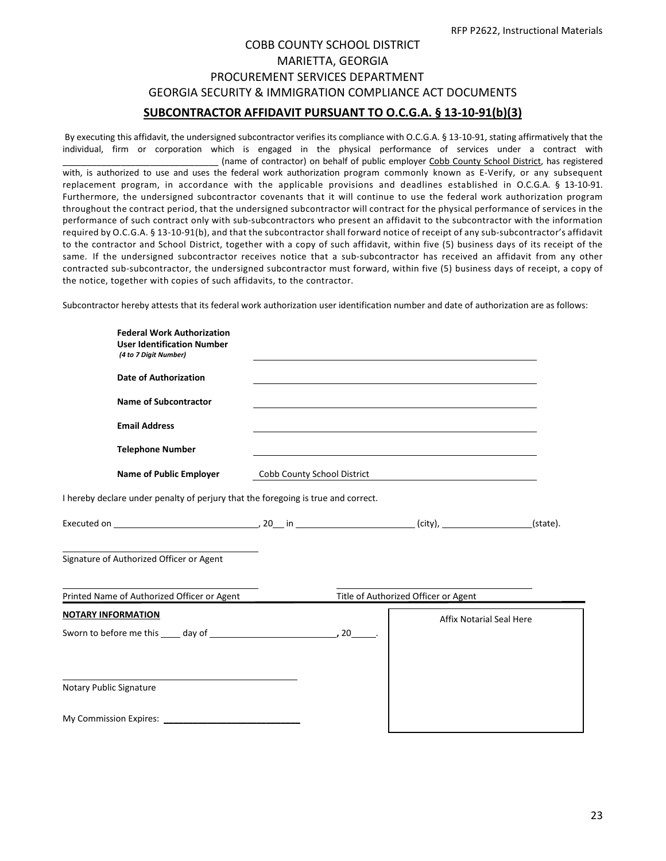## COBB COUNTY SCHOOL DISTRICT MARIETTA, GEORGIA PROCUREMENT SERVICES DEPARTMENT GEORGIA SECURITY & IMMIGRATION COMPLIANCE ACT DOCUMENTS **SUBCONTRACTOR AFFIDAVIT PURSUANT TO O.C.G.A. § 13-10-91(b)(3)**

By executing this affidavit, the undersigned subcontractor verifies its compliance with O.C.G.A. § 13-10-91, stating affirmatively that the individual, firm or corporation which is engaged in the physical performance of services under a contract with (name of contractor) on behalf of public employer Cobb County School District, has registered with, is authorized to use and uses the federal work authorization program commonly known as E-Verify, or any subsequent replacement program, in accordance with the applicable provisions and deadlines established in O.C.G.A. § 13-10-91. Furthermore, the undersigned subcontractor covenants that it will continue to use the federal work authorization program throughout the contract period, that the undersigned subcontractor will contract for the physical performance of services in the performance of such contract only with sub-subcontractors who present an affidavit to the subcontractor with the information required by O.C.G.A. § 13-10-91(b), and that the subcontractor shall forward notice of receipt of any sub-subcontractor's affidavit to the contractor and School District, together with a copy of such affidavit, within five (5) business days of its receipt of the same. If the undersigned subcontractor receives notice that a sub-subcontractor has received an affidavit from any other contracted sub-subcontractor, the undersigned subcontractor must forward, within five (5) business days of receipt, a copy of the notice, together with copies of such affidavits, to the contractor.

Subcontractor hereby attests that its federal work authorization user identification number and date of authorization are as follows:

| <b>Federal Work Authorization</b><br><b>User Identification Number</b><br>(4 to 7 Digit Number)                                                                                                                                |                             |                                      |          |
|--------------------------------------------------------------------------------------------------------------------------------------------------------------------------------------------------------------------------------|-----------------------------|--------------------------------------|----------|
| <b>Date of Authorization</b>                                                                                                                                                                                                   |                             |                                      |          |
| <b>Name of Subcontractor</b>                                                                                                                                                                                                   |                             |                                      |          |
| <b>Email Address</b>                                                                                                                                                                                                           |                             |                                      |          |
| <b>Telephone Number</b>                                                                                                                                                                                                        |                             |                                      |          |
| <b>Name of Public Employer</b>                                                                                                                                                                                                 | Cobb County School District |                                      |          |
| I hereby declare under penalty of perjury that the foregoing is true and correct.                                                                                                                                              |                             |                                      |          |
|                                                                                                                                                                                                                                |                             |                                      | (state). |
| Signature of Authorized Officer or Agent                                                                                                                                                                                       |                             |                                      |          |
| Printed Name of Authorized Officer or Agent                                                                                                                                                                                    |                             | Title of Authorized Officer or Agent |          |
| <b>NOTARY INFORMATION</b>                                                                                                                                                                                                      |                             | <b>Affix Notarial Seal Here</b>      |          |
|                                                                                                                                                                                                                                |                             |                                      |          |
|                                                                                                                                                                                                                                |                             |                                      |          |
| Notary Public Signature                                                                                                                                                                                                        |                             |                                      |          |
| My Commission Expires: Note that the control of the control of the control of the control of the control of the control of the control of the control of the control of the control of the control of the control of the contr |                             |                                      |          |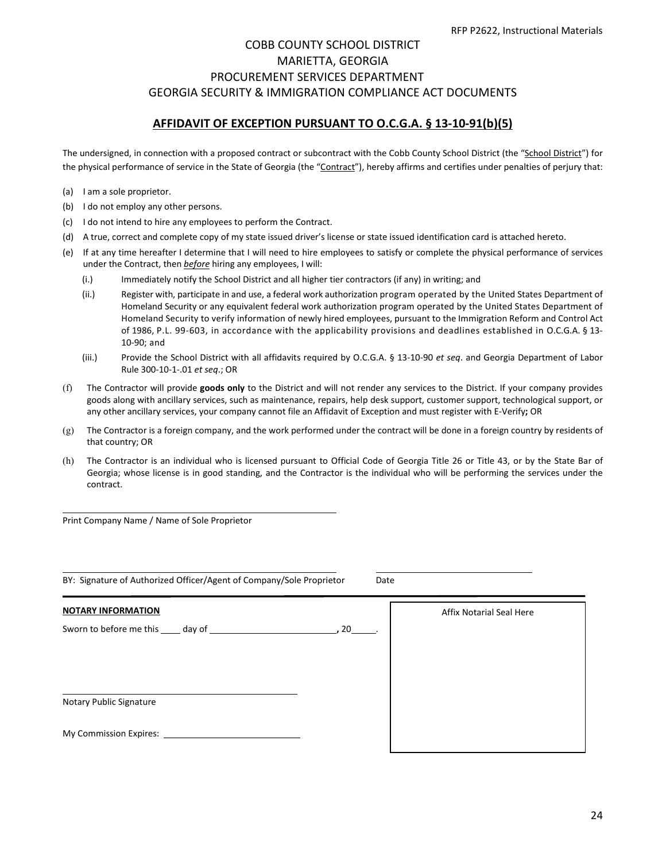## COBB COUNTY SCHOOL DISTRICT MARIETTA, GEORGIA PROCUREMENT SERVICES DEPARTMENT GEORGIA SECURITY & IMMIGRATION COMPLIANCE ACT DOCUMENTS

#### **AFFIDAVIT OF EXCEPTION PURSUANT TO O.C.G.A. § 13-10-91(b)(5)**

The undersigned, in connection with a proposed contract or subcontract with the Cobb County School District (the "School District") for the physical performance of service in the State of Georgia (the "Contract"), hereby affirms and certifies under penalties of perjury that:

- (a) I am a sole proprietor.
- (b) I do not employ any other persons.
- (c) I do not intend to hire any employees to perform the Contract.
- (d) A true, correct and complete copy of my state issued driver's license or state issued identification card is attached hereto.
- (e) If at any time hereafter I determine that I will need to hire employees to satisfy or complete the physical performance of services under the Contract, then *before* hiring any employees, I will:
	- (i.) Immediately notify the School District and all higher tier contractors (if any) in writing; and
	- (ii.) Register with, participate in and use, a federal work authorization program operated by the United States Department of Homeland Security or any equivalent federal work authorization program operated by the United States Department of Homeland Security to verify information of newly hired employees, pursuant to the Immigration Reform and Control Act of 1986, P.L. 99-603, in accordance with the applicability provisions and deadlines established in O.C.G.A. § 13- 10-90; and
	- (iii.) Provide the School District with all affidavits required by O.C.G.A. § 13-10-90 *et seq*. and Georgia Department of Labor Rule 300-10-1-.01 *et seq*.; OR
- (f) The Contractor will provide **goods only** to the District and will not render any services to the District. If your company provides goods along with ancillary services, such as maintenance, repairs, help desk support, customer support, technological support, or any other ancillary services, your company cannot file an Affidavit of Exception and must register with E-Verify**;** OR
- (g) The Contractor is a foreign company, and the work performed under the contract will be done in a foreign country by residents of that country; OR
- (h) The Contractor is an individual who is licensed pursuant to Official Code of Georgia Title 26 or Title 43, or by the State Bar of Georgia; whose license is in good standing, and the Contractor is the individual who will be performing the services under the contract.

Print Company Name / Name of Sole Proprietor

| BY: Signature of Authorized Officer/Agent of Company/Sole Proprietor<br>Date |                          |  |  |  |  |
|------------------------------------------------------------------------------|--------------------------|--|--|--|--|
| <b>NOTARY INFORMATION</b>                                                    | Affix Notarial Seal Here |  |  |  |  |
|                                                                              |                          |  |  |  |  |
| Notary Public Signature<br>My Commission Expires: __________                 |                          |  |  |  |  |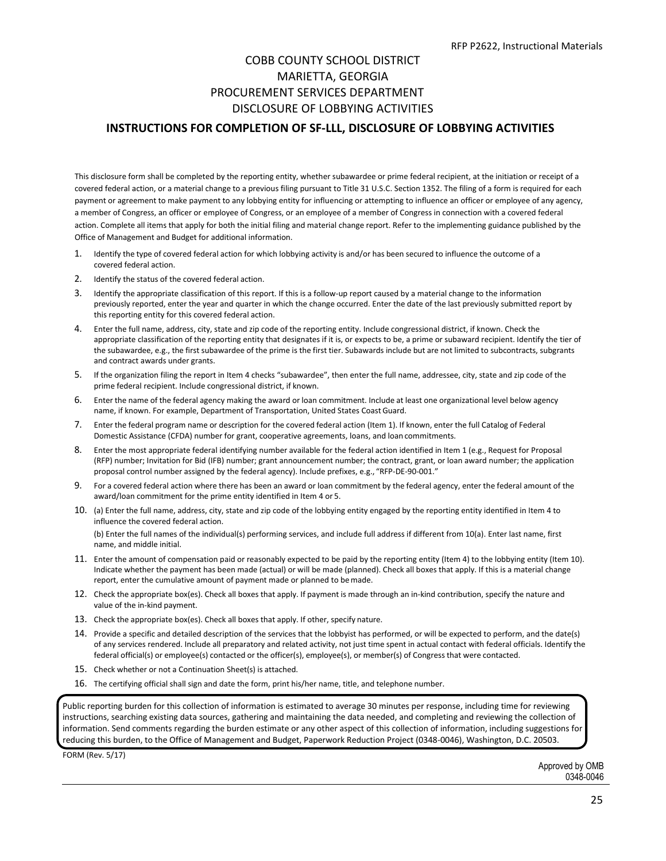## COBB COUNTY SCHOOL DISTRICT MARIETTA, GEORGIA PROCUREMENT SERVICES DEPARTMENT DISCLOSURE OF LOBBYING ACTIVITIES

#### **INSTRUCTIONS FOR COMPLETION OF SF-LLL, DISCLOSURE OF LOBBYING ACTIVITIES**

This disclosure form shall be completed by the reporting entity, whether subawardee or prime federal recipient, at the initiation or receipt of a covered federal action, or a material change to a previous filing pursuant to Title 31 U.S.C. Section 1352. The filing of a form is required for each payment or agreement to make payment to any lobbying entity for influencing or attempting to influence an officer or employee of any agency, a member of Congress, an officer or employee of Congress, or an employee of a member of Congress in connection with a covered federal action. Complete all items that apply for both the initial filing and material change report. Refer to the implementing guidance published by the Office of Management and Budget for additional information.

- 1. Identify the type of covered federal action for which lobbying activity is and/or has been secured to influence the outcome of a covered federal action.
- 2. Identify the status of the covered federal action.
- 3. Identify the appropriate classification of this report. If this is a follow-up report caused by a material change to the information previously reported, enter the year and quarter in which the change occurred. Enter the date of the last previously submitted report by this reporting entity for this covered federal action.
- 4. Enter the full name, address, city, state and zip code of the reporting entity. Include congressional district, if known. Check the appropriate classification of the reporting entity that designates if it is, or expects to be, a prime or subaward recipient. Identify the tier of the subawardee, e.g., the first subawardee of the prime is the first tier. Subawards include but are not limited to subcontracts, subgrants and contract awards under grants.
- 5. If the organization filing the report in Item 4 checks "subawardee", then enter the full name, addressee, city, state and zip code of the prime federal recipient. Include congressional district, if known.
- 6. Enter the name of the federal agency making the award or loan commitment. Include at least one organizational level below agency name, if known. For example, Department of Transportation, United States CoastGuard.
- 7. Enter the federal program name or description for the covered federal action (Item 1). If known, enter the full Catalog of Federal Domestic Assistance (CFDA) number for grant, cooperative agreements, loans, and loan commitments.
- 8. Enter the most appropriate federal identifying number available for the federal action identified in Item 1 (e.g., Request for Proposal (RFP) number; Invitation for Bid (IFB) number; grant announcement number; the contract, grant, or loan award number; the application proposal control number assigned by the federal agency). Include prefixes, e.g., "RFP-DE-90-001."
- 9. For a covered federal action where there has been an award or loan commitment by the federal agency, enter the federal amount of the award/loan commitment for the prime entity identified in Item 4 or 5.
- 10. (a) Enter the full name, address, city, state and zip code of the lobbying entity engaged by the reporting entity identified in Item 4 to influence the covered federal action. (b) Enter the full names of the individual(s) performing services, and include full address if different from 10(a). Enter last name, first name, and middle initial.
- 11. Enter the amount of compensation paid or reasonably expected to be paid by the reporting entity (Item 4) to the lobbying entity (Item 10). Indicate whether the payment has been made (actual) or will be made (planned). Check all boxes that apply. If this is a material change report, enter the cumulative amount of payment made or planned to bemade.
- 12. Check the appropriate box(es). Check all boxes that apply. If payment is made through an in-kind contribution, specify the nature and value of the in-kind payment.
- 13. Check the appropriate box(es). Check all boxes that apply. If other, specify nature.
- 14. Provide a specific and detailed description of the services that the lobbyist has performed, or will be expected to perform, and the date(s) of any services rendered. Include all preparatory and related activity, not just time spent in actual contact with federal officials. Identify the federal official(s) or employee(s) contacted or the officer(s), employee(s), or member(s) of Congress that were contacted.
- 15. Check whether or not a Continuation Sheet(s) is attached.
- 16. The certifying official shall sign and date the form, print his/her name, title, and telephone number.

Public reporting burden for this collection of information is estimated to average 30 minutes per response, including time for reviewing instructions, searching existing data sources, gathering and maintaining the data needed, and completing and reviewing the collection of information. Send comments regarding the burden estimate or any other aspect of this collection of information, including suggestions for reducing this burden, to the Office of Management and Budget, Paperwork Reduction Project (0348-0046), Washington, D.C. 20503.

FORM (Rev. 5/17)

Approved by OMB 0348-0046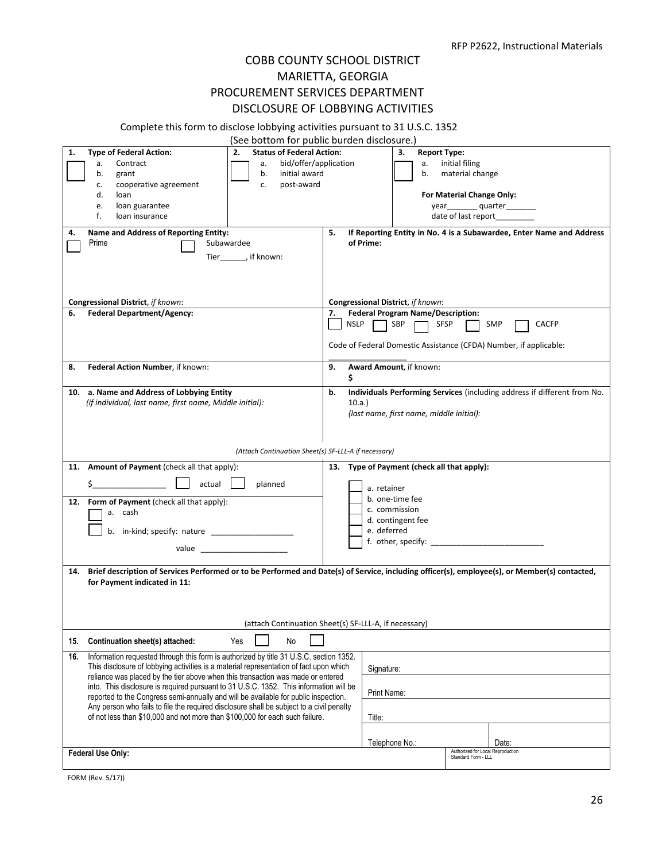## COBB COUNTY SCHOOL DISTRICT MARIETTA, GEORGIA PROCUREMENT SERVICES DEPARTMENT DISCLOSURE OF LOBBYING ACTIVITIES

#### Complete this form to disclose lobbying activities pursuant to 31 U.S.C. 1352

|     |                                                                                                                                                                                 | (See bottom for public burden disclosure.)                                                                    |                                   |                                             |                                                                          |
|-----|---------------------------------------------------------------------------------------------------------------------------------------------------------------------------------|---------------------------------------------------------------------------------------------------------------|-----------------------------------|---------------------------------------------|--------------------------------------------------------------------------|
| 1.  | <b>Type of Federal Action:</b>                                                                                                                                                  | <b>Status of Federal Action:</b><br>2.                                                                        |                                   | <b>Report Type:</b><br>3.                   |                                                                          |
|     | Contract<br>a.                                                                                                                                                                  | bid/offer/application<br>a.                                                                                   |                                   | а.                                          | initial filing                                                           |
|     | b.<br>grant                                                                                                                                                                     | initial award<br>b.                                                                                           |                                   | b.                                          | material change                                                          |
|     | cooperative agreement<br>c.                                                                                                                                                     | post-award<br>c.                                                                                              |                                   |                                             |                                                                          |
|     | d.<br>loan                                                                                                                                                                      |                                                                                                               |                                   |                                             | For Material Change Only:                                                |
|     | loan guarantee<br>e.                                                                                                                                                            |                                                                                                               |                                   |                                             | year__________quarter_________                                           |
|     | f.<br>loan insurance                                                                                                                                                            |                                                                                                               |                                   |                                             | date of last report________                                              |
| 4.  | Name and Address of Reporting Entity:<br>Prime                                                                                                                                  | Subawardee                                                                                                    | 5.<br>of Prime:                   |                                             | If Reporting Entity in No. 4 is a Subawardee, Enter Name and Address     |
|     |                                                                                                                                                                                 | Tier________, if known:                                                                                       |                                   |                                             |                                                                          |
|     |                                                                                                                                                                                 |                                                                                                               |                                   |                                             |                                                                          |
|     |                                                                                                                                                                                 |                                                                                                               |                                   |                                             |                                                                          |
|     |                                                                                                                                                                                 |                                                                                                               |                                   |                                             |                                                                          |
|     | Congressional District, if known:                                                                                                                                               |                                                                                                               | Congressional District, if known: |                                             |                                                                          |
| 6.  | <b>Federal Department/Agency:</b>                                                                                                                                               |                                                                                                               | 7.                                | <b>Federal Program Name/Description:</b>    |                                                                          |
|     |                                                                                                                                                                                 |                                                                                                               | NSLP                              | SBP<br><b>SFSP</b>                          | <b>SMP</b><br><b>CACFP</b>                                               |
|     |                                                                                                                                                                                 |                                                                                                               |                                   |                                             |                                                                          |
|     |                                                                                                                                                                                 |                                                                                                               |                                   |                                             | Code of Federal Domestic Assistance (CFDA) Number, if applicable:        |
|     |                                                                                                                                                                                 |                                                                                                               |                                   |                                             |                                                                          |
| 8.  | Federal Action Number, if known:                                                                                                                                                |                                                                                                               | 9.<br>\$                          | Award Amount, if known:                     |                                                                          |
|     | 10. a. Name and Address of Lobbying Entity                                                                                                                                      |                                                                                                               | b.                                |                                             | Individuals Performing Services (including address if different from No. |
|     | (if individual, last name, first name, Middle initial):                                                                                                                         |                                                                                                               | 10.a.                             |                                             |                                                                          |
|     |                                                                                                                                                                                 |                                                                                                               |                                   | (last name, first name, middle initial):    |                                                                          |
|     |                                                                                                                                                                                 |                                                                                                               |                                   |                                             |                                                                          |
|     |                                                                                                                                                                                 |                                                                                                               |                                   |                                             |                                                                          |
|     |                                                                                                                                                                                 |                                                                                                               |                                   |                                             |                                                                          |
|     |                                                                                                                                                                                 | (Attach Continuation Sheet(s) SF-LLL-A if necessary)                                                          |                                   |                                             |                                                                          |
|     | 11. Amount of Payment (check all that apply):                                                                                                                                   |                                                                                                               |                                   | 13. Type of Payment (check all that apply): |                                                                          |
|     | actual<br>\$.                                                                                                                                                                   | planned                                                                                                       | a. retainer                       |                                             |                                                                          |
|     |                                                                                                                                                                                 |                                                                                                               |                                   | b. one-time fee                             |                                                                          |
|     | 12. Form of Payment (check all that apply):                                                                                                                                     |                                                                                                               |                                   | c. commission                               |                                                                          |
|     | a. cash                                                                                                                                                                         |                                                                                                               | d. contingent fee                 |                                             |                                                                          |
|     | b. in-kind; specify: nature                                                                                                                                                     |                                                                                                               | e. deferred                       |                                             |                                                                          |
|     |                                                                                                                                                                                 |                                                                                                               |                                   |                                             | $f.$ other, specify: $\sqrt{f}$                                          |
|     |                                                                                                                                                                                 | value and a series of the series of the series of the series of the series of the series of the series of the |                                   |                                             |                                                                          |
|     |                                                                                                                                                                                 |                                                                                                               |                                   |                                             |                                                                          |
| 14. | Brief description of Services Performed or to be Performed and Date(s) of Service, including officer(s), employee(s), or Member(s) contacted,                                   |                                                                                                               |                                   |                                             |                                                                          |
|     | for Payment indicated in 11:                                                                                                                                                    |                                                                                                               |                                   |                                             |                                                                          |
|     |                                                                                                                                                                                 |                                                                                                               |                                   |                                             |                                                                          |
|     |                                                                                                                                                                                 |                                                                                                               |                                   |                                             |                                                                          |
|     |                                                                                                                                                                                 | (attach Continuation Sheet(s) SF-LLL-A, if necessary)                                                         |                                   |                                             |                                                                          |
| 15. | Continuation sheet(s) attached:                                                                                                                                                 | Yes<br>No                                                                                                     |                                   |                                             |                                                                          |
| 16. | Information requested through this form is authorized by title 31 U.S.C. section 1352.                                                                                          |                                                                                                               |                                   |                                             |                                                                          |
|     | This disclosure of lobbying activities is a material representation of fact upon which                                                                                          | Signature:                                                                                                    |                                   |                                             |                                                                          |
|     | reliance was placed by the tier above when this transaction was made or entered                                                                                                 |                                                                                                               |                                   |                                             |                                                                          |
|     | into. This disclosure is required pursuant to 31 U.S.C. 1352. This information will be                                                                                          | Print Name:                                                                                                   |                                   |                                             |                                                                          |
|     | reported to the Congress semi-annually and will be available for public inspection.<br>Any person who fails to file the required disclosure shall be subject to a civil penalty |                                                                                                               |                                   |                                             |                                                                          |
|     | of not less than \$10,000 and not more than \$100,000 for each such failure.                                                                                                    | Title:                                                                                                        |                                   |                                             |                                                                          |
|     |                                                                                                                                                                                 |                                                                                                               |                                   |                                             |                                                                          |
|     |                                                                                                                                                                                 |                                                                                                               |                                   |                                             |                                                                          |
|     |                                                                                                                                                                                 |                                                                                                               |                                   | Telephone No.:                              | Date:<br>Authorized for Local Reproduction                               |
|     | Federal Use Only:                                                                                                                                                               |                                                                                                               |                                   |                                             | Standard Form - LLL                                                      |

FORM (Rev. 5/17))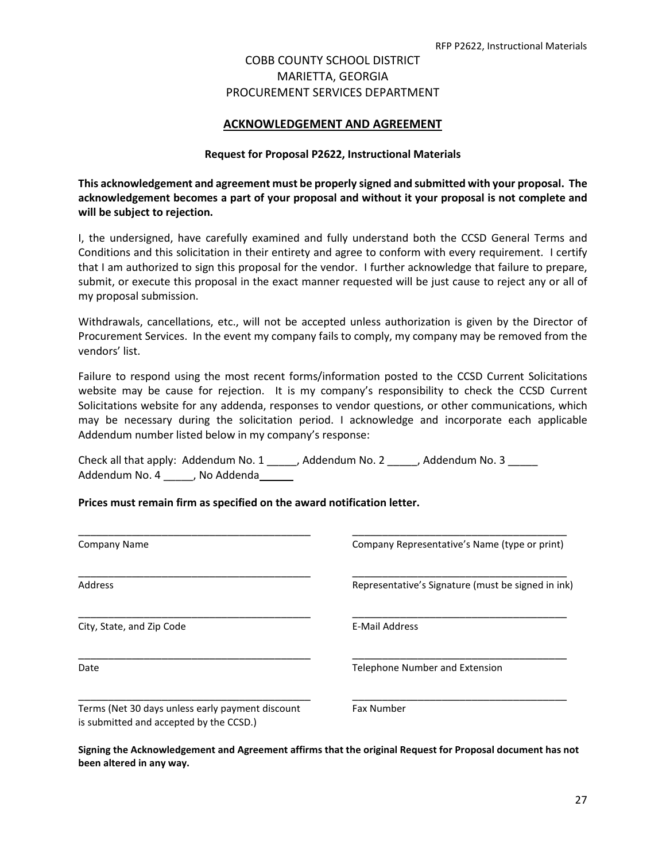#### **ACKNOWLEDGEMENT AND AGREEMENT**

#### **Request for Proposal P2622, Instructional Materials**

**This acknowledgement and agreement must be properly signed and submitted with your proposal. The acknowledgement becomes a part of your proposal and without it your proposal is not complete and will be subject to rejection.**

I, the undersigned, have carefully examined and fully understand both the CCSD General Terms and Conditions and this solicitation in their entirety and agree to conform with every requirement. I certify that I am authorized to sign this proposal for the vendor. I further acknowledge that failure to prepare, submit, or execute this proposal in the exact manner requested will be just cause to reject any or all of my proposal submission.

Withdrawals, cancellations, etc., will not be accepted unless authorization is given by the Director of Procurement Services. In the event my company fails to comply, my company may be removed from the vendors' list.

Failure to respond using the most recent forms/information posted to the CCSD Current Solicitations website may be cause for rejection. It is my company's responsibility to check the CCSD Current Solicitations website for any addenda, responses to vendor questions, or other communications, which may be necessary during the solicitation period. I acknowledge and incorporate each applicable Addendum number listed below in my company's response:

Check all that apply: Addendum No. 1 \_\_\_\_\_, Addendum No. 2 \_\_\_\_\_, Addendum No. 3 \_\_\_\_\_ Addendum No. 4 \_\_\_\_\_, No Addenda\_\_\_\_

#### **Prices must remain firm as specified on the award notification letter.**

| Company Name                                                                                | Company Representative's Name (type or print)      |
|---------------------------------------------------------------------------------------------|----------------------------------------------------|
| <b>Address</b>                                                                              | Representative's Signature (must be signed in ink) |
| City, State, and Zip Code                                                                   | <b>E-Mail Address</b>                              |
| Date                                                                                        | Telephone Number and Extension                     |
| Terms (Net 30 days unless early payment discount<br>is submitted and accepted by the CCSD.) | <b>Fax Number</b>                                  |

**Signing the Acknowledgement and Agreement affirms that the original Request for Proposal document has not been altered in any way.**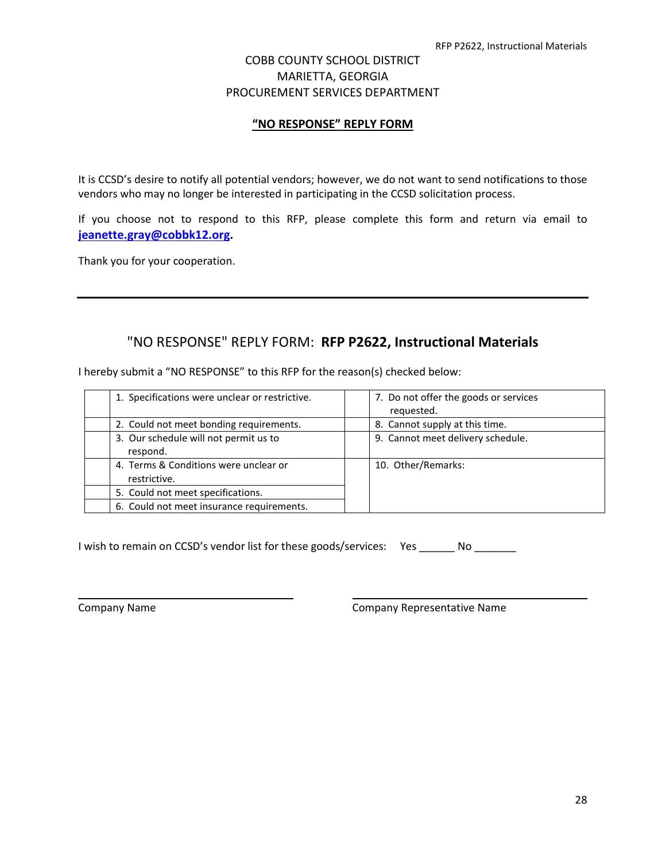#### **"NO RESPONSE" REPLY FORM**

It is CCSD's desire to notify all potential vendors; however, we do not want to send notifications to those vendors who may no longer be interested in participating in the CCSD solicitation process.

If you choose not to respond to this RFP, please complete this form and return via email to **[jeanette.gray@cobbk12.org.](mailto:jeanette.gray@cobbk12.org)**

Thank you for your cooperation.

## "NO RESPONSE" REPLY FORM: **RFP P2622, Instructional Materials**

I hereby submit a "NO RESPONSE" to this RFP for the reason(s) checked below:

| 1. Specifications were unclear or restrictive.        | 7. Do not offer the goods or services<br>requested. |
|-------------------------------------------------------|-----------------------------------------------------|
| 2. Could not meet bonding requirements.               | 8. Cannot supply at this time.                      |
| 3. Our schedule will not permit us to<br>respond.     | 9. Cannot meet delivery schedule.                   |
| 4. Terms & Conditions were unclear or<br>restrictive. | 10. Other/Remarks:                                  |
| 5. Could not meet specifications.                     |                                                     |
| 6. Could not meet insurance requirements.             |                                                     |

I wish to remain on CCSD's vendor list for these goods/services: Yes \_\_\_\_\_\_ No \_\_\_\_\_\_

Company Name Company Representative Name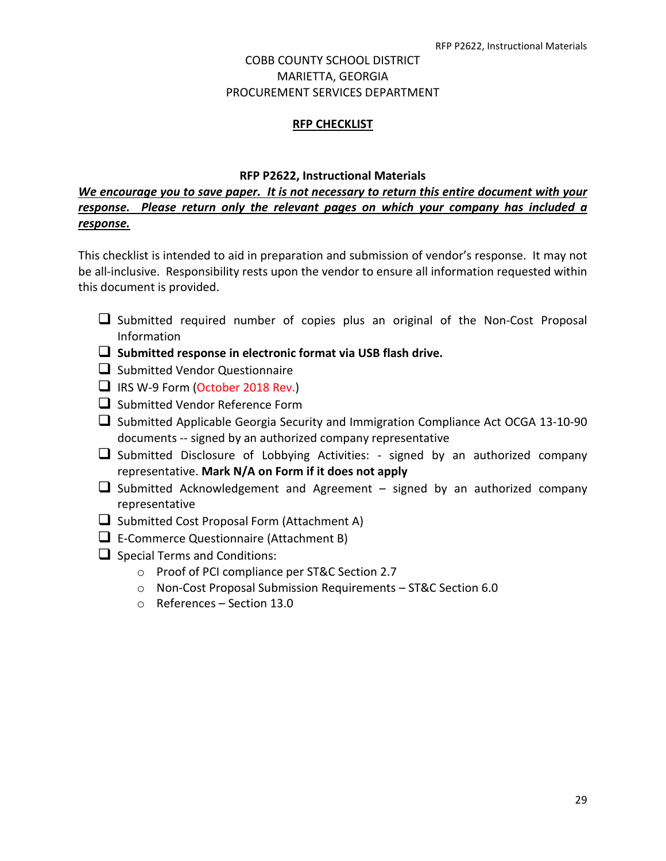#### **RFP CHECKLIST**

#### **RFP P2622, Instructional Materials**

## *We encourage you to save paper. It is not necessary to return this entire document with your response. Please return only the relevant pages on which your company has included a response.*

This checklist is intended to aid in preparation and submission of vendor's response. It may not be all-inclusive. Responsibility rests upon the vendor to ensure all information requested within this document is provided.

- $\Box$  Submitted required number of copies plus an original of the Non-Cost Proposal Information
- **Submitted response in electronic format via USB flash drive.**
- $\Box$  Submitted Vendor Questionnaire
- $\Box$  IRS W-9 Form (October 2018 Rev.)
- $\Box$  Submitted Vendor Reference Form
- $\square$  Submitted Applicable Georgia Security and Immigration Compliance Act OCGA 13-10-90 documents -- signed by an authorized company representative
- $\Box$  Submitted Disclosure of Lobbying Activities: signed by an authorized company representative. **Mark N/A on Form if it does not apply**
- $\Box$  Submitted Acknowledgement and Agreement signed by an authorized company representative
- $\Box$  Submitted Cost Proposal Form (Attachment A)
- $\Box$  E-Commerce Questionnaire (Attachment B)
- $\Box$  Special Terms and Conditions:
	- o Proof of PCI compliance per ST&C Section 2.7
	- o Non-Cost Proposal Submission Requirements ST&C Section 6.0
	- o References Section 13.0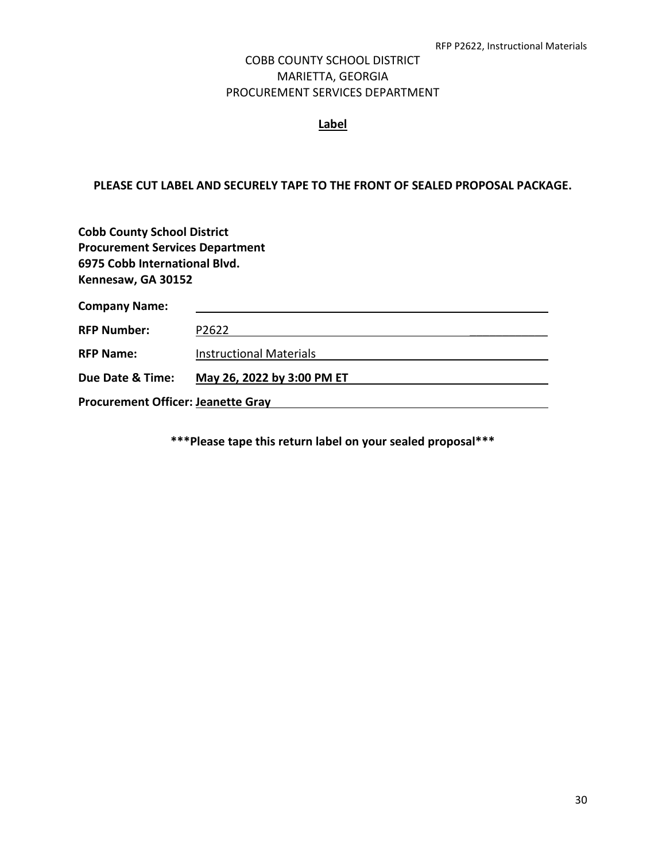#### **Label**

#### **PLEASE CUT LABEL AND SECURELY TAPE TO THE FRONT OF SEALED PROPOSAL PACKAGE.**

| <b>Cobb County School District</b><br><b>Procurement Services Department</b><br>6975 Cobb International Blvd.<br>Kennesaw, GA 30152 |                                |  |  |
|-------------------------------------------------------------------------------------------------------------------------------------|--------------------------------|--|--|
| <b>Company Name:</b>                                                                                                                |                                |  |  |
| <b>RFP Number:</b>                                                                                                                  | P2622                          |  |  |
| <b>RFP Name:</b>                                                                                                                    | <b>Instructional Materials</b> |  |  |
| Due Date & Time:                                                                                                                    | May 26, 2022 by 3:00 PM ET     |  |  |
| <b>Procurement Officer: Jeanette Gray</b>                                                                                           |                                |  |  |

**\*\*\*Please tape this return label on your sealed proposal\*\*\***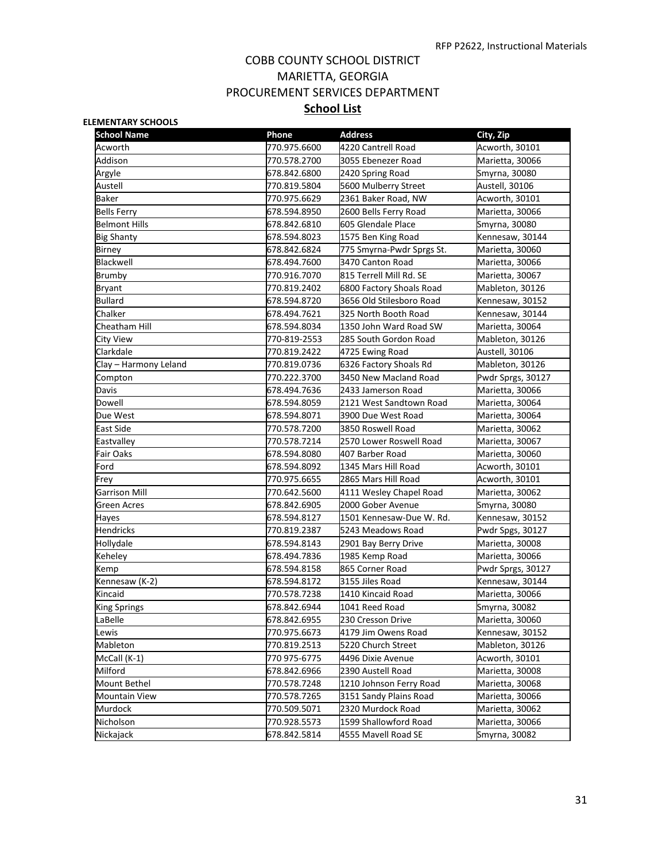#### **ELEMENTARY SCHOOLS**

| <b>School Name</b>    | <b>Phone</b> | <b>Address</b>            | City, Zip         |
|-----------------------|--------------|---------------------------|-------------------|
| Acworth               | 770.975.6600 | 4220 Cantrell Road        | Acworth, 30101    |
| Addison               | 770.578.2700 | 3055 Ebenezer Road        | Marietta, 30066   |
| Argyle                | 678.842.6800 | 2420 Spring Road          | Smyrna, 30080     |
| Austell               | 770.819.5804 | 5600 Mulberry Street      | Austell, 30106    |
| Baker                 | 770.975.6629 | 2361 Baker Road, NW       | Acworth, 30101    |
| Bells Ferry           | 678.594.8950 | 2600 Bells Ferry Road     | Marietta, 30066   |
| <b>Belmont Hills</b>  | 678.842.6810 | 605 Glendale Place        | Smyrna, 30080     |
| <b>Big Shanty</b>     | 678.594.8023 | 1575 Ben King Road        | Kennesaw, 30144   |
| <b>Birney</b>         | 678.842.6824 | 775 Smyrna-Pwdr Sprgs St. | Marietta, 30060   |
| Blackwell             | 678.494.7600 | 3470 Canton Road          | Marietta, 30066   |
| Brumby                | 770.916.7070 | 815 Terrell Mill Rd. SE   | Marietta, 30067   |
| <b>Bryant</b>         | 770.819.2402 | 6800 Factory Shoals Road  | Mableton, 30126   |
| <b>Bullard</b>        | 678.594.8720 | 3656 Old Stilesboro Road  | Kennesaw, 30152   |
| Chalker               | 678.494.7621 | 325 North Booth Road      | Kennesaw, 30144   |
| Cheatham Hill         | 678.594.8034 | 1350 John Ward Road SW    | Marietta, 30064   |
| City View             | 770-819-2553 | 285 South Gordon Road     | Mableton, 30126   |
| Clarkdale             | 770.819.2422 | 4725 Ewing Road           | Austell, 30106    |
| Clay – Harmony Leland | 770.819.0736 | 6326 Factory Shoals Rd    | Mableton, 30126   |
| Compton               | 770.222.3700 | 3450 New Macland Road     | Pwdr Sprgs, 30127 |
| Davis                 | 678.494.7636 | 2433 Jamerson Road        | Marietta, 30066   |
| Dowell                | 678.594.8059 | 2121 West Sandtown Road   | Marietta, 30064   |
| Due West              | 678.594.8071 | 3900 Due West Road        | Marietta, 30064   |
| <b>East Side</b>      | 770.578.7200 | 3850 Roswell Road         | Marietta, 30062   |
| Eastvalley            | 770.578.7214 | 2570 Lower Roswell Road   | Marietta, 30067   |
| Fair Oaks             | 678.594.8080 | 407 Barber Road           | Marietta, 30060   |
| Ford                  | 678.594.8092 | 1345 Mars Hill Road       | Acworth, 30101    |
| Frey                  | 770.975.6655 | 2865 Mars Hill Road       | Acworth, 30101    |
| <b>Garrison Mill</b>  | 770.642.5600 | 4111 Wesley Chapel Road   | Marietta, 30062   |
| Green Acres           | 678.842.6905 | 2000 Gober Avenue         | Smyrna, 30080     |
| Hayes                 | 678.594.8127 | 1501 Kennesaw-Due W. Rd.  | Kennesaw, 30152   |
| <b>Hendricks</b>      | 770.819.2387 | 5243 Meadows Road         | Pwdr Spgs, 30127  |
| Hollydale             | 678.594.8143 | 2901 Bay Berry Drive      | Marietta, 30008   |
| Keheley               | 678.494.7836 | 1985 Kemp Road            | Marietta, 30066   |
| Kemp                  | 678.594.8158 | 865 Corner Road           | Pwdr Sprgs, 30127 |
| Kennesaw (K-2)        | 678.594.8172 | 3155 Jiles Road           | Kennesaw, 30144   |
| Kincaid               | 770.578.7238 | 1410 Kincaid Road         | Marietta, 30066   |
| <b>King Springs</b>   | 678.842.6944 | 1041 Reed Road            | Smyrna, 30082     |
| LaBelle               | 678.842.6955 | 230 Cresson Drive         | Marietta, 30060   |
| Lewis                 | 770.975.6673 | 4179 Jim Owens Road       | Kennesaw, 30152   |
| Mableton              | 770.819.2513 | 5220 Church Street        | Mableton, 30126   |
| McCall (K-1)          | 770 975-6775 | 4496 Dixie Avenue         | Acworth, 30101    |
| Milford               | 678.842.6966 | 2390 Austell Road         | Marietta, 30008   |
| Mount Bethel          | 770.578.7248 | 1210 Johnson Ferry Road   | Marietta, 30068   |
| <b>Mountain View</b>  | 770.578.7265 | 3151 Sandy Plains Road    | Marietta, 30066   |
| Murdock               | 770.509.5071 | 2320 Murdock Road         | Marietta, 30062   |
| Nicholson             | 770.928.5573 | 1599 Shallowford Road     | Marietta, 30066   |
| Nickajack             | 678.842.5814 | 4555 Mavell Road SE       | Smyrna, 30082     |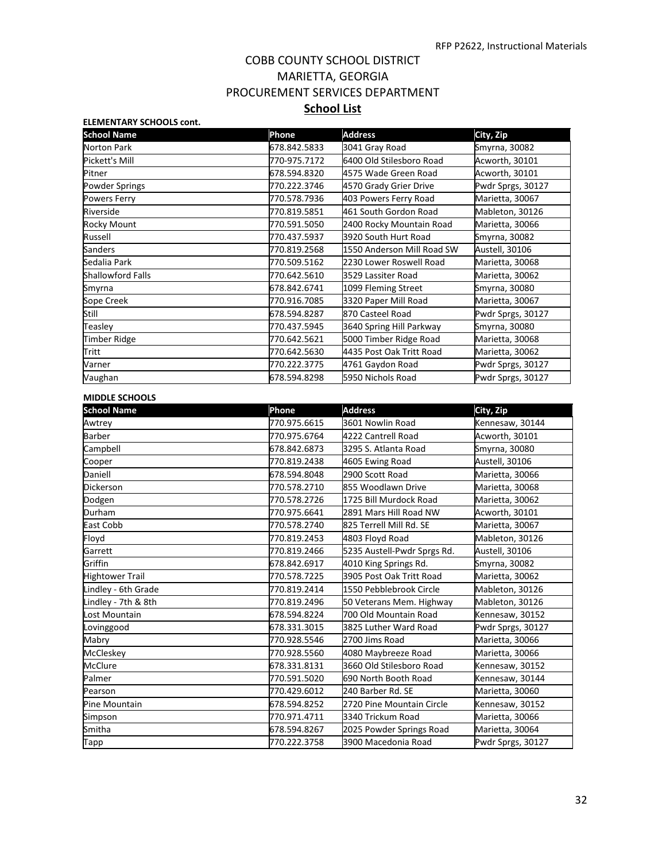| <b>ELEMENTARY SCHOOLS cont.</b> |              |                            |                   |
|---------------------------------|--------------|----------------------------|-------------------|
| <b>School Name</b>              | Phone        | <b>Address</b>             | City, Zip         |
| Norton Park                     | 678.842.5833 | 3041 Gray Road             | Smyrna, 30082     |
| Pickett's Mill                  | 770-975.7172 | 6400 Old Stilesboro Road   | Acworth, 30101    |
| Pitner                          | 678.594.8320 | 4575 Wade Green Road       | Acworth, 30101    |
| <b>Powder Springs</b>           | 770.222.3746 | 4570 Grady Grier Drive     | Pwdr Sprgs, 30127 |
| Powers Ferry                    | 770.578.7936 | 403 Powers Ferry Road      | Marietta, 30067   |
| Riverside                       | 770.819.5851 | 461 South Gordon Road      | Mableton, 30126   |
| Rocky Mount                     | 770.591.5050 | 2400 Rocky Mountain Road   | Marietta, 30066   |
| Russell                         | 770.437.5937 | 3920 South Hurt Road       | Smyrna, 30082     |
| Sanders                         | 770.819.2568 | 1550 Anderson Mill Road SW | Austell, 30106    |
| Sedalia Park                    | 770.509.5162 | 2230 Lower Roswell Road    | Marietta, 30068   |
| <b>Shallowford Falls</b>        | 770.642.5610 | 3529 Lassiter Road         | Marietta, 30062   |
| Smyrna                          | 678.842.6741 | 1099 Fleming Street        | Smyrna, 30080     |
| Sope Creek                      | 770.916.7085 | 3320 Paper Mill Road       | Marietta, 30067   |
| Still                           | 678.594.8287 | 870 Casteel Road           | Pwdr Sprgs, 30127 |
| Teasley                         | 770.437.5945 | 3640 Spring Hill Parkway   | Smyrna, 30080     |
| <b>Timber Ridge</b>             | 770.642.5621 | 5000 Timber Ridge Road     | Marietta, 30068   |
| Tritt                           | 770.642.5630 | 4435 Post Oak Tritt Road   | Marietta, 30062   |
| Varner                          | 770.222.3775 | 4761 Gaydon Road           | Pwdr Sprgs, 30127 |
| Vaughan                         | 678.594.8298 | 5950 Nichols Road          | Pwdr Sprgs, 30127 |

#### **MIDDLE SCHOOLS**

| <b>School Name</b>     | Phone        | <b>Address</b>              | City, Zip         |
|------------------------|--------------|-----------------------------|-------------------|
| Awtrey                 | 770.975.6615 | 3601 Nowlin Road            | Kennesaw, 30144   |
| <b>Barber</b>          | 770.975.6764 | 4222 Cantrell Road          | Acworth, 30101    |
| Campbell               | 678.842.6873 | 3295 S. Atlanta Road        | Smyrna, 30080     |
| Cooper                 | 770.819.2438 | 4605 Ewing Road             | Austell, 30106    |
| Daniell                | 678.594.8048 | 2900 Scott Road             | Marietta, 30066   |
| <b>Dickerson</b>       | 770.578.2710 | 855 Woodlawn Drive          | Marietta, 30068   |
| Dodgen                 | 770.578.2726 | 1725 Bill Murdock Road      | Marietta, 30062   |
| Durham                 | 770.975.6641 | 2891 Mars Hill Road NW      | Acworth, 30101    |
| East Cobb              | 770.578.2740 | 825 Terrell Mill Rd. SE     | Marietta, 30067   |
| Floyd                  | 770.819.2453 | 4803 Floyd Road             | Mableton, 30126   |
| Garrett                | 770.819.2466 | 5235 Austell-Pwdr Sprgs Rd. | Austell, 30106    |
| Griffin                | 678.842.6917 | 4010 King Springs Rd.       | Smyrna, 30082     |
| <b>Hightower Trail</b> | 770.578.7225 | 3905 Post Oak Tritt Road    | Marietta, 30062   |
| Lindley - 6th Grade    | 770.819.2414 | 1550 Pebblebrook Circle     | Mableton, 30126   |
| Lindley - 7th & 8th    | 770.819.2496 | 50 Veterans Mem. Highway    | Mableton, 30126   |
| Lost Mountain          | 678.594.8224 | 700 Old Mountain Road       | Kennesaw, 30152   |
| Lovinggood             | 678.331.3015 | 3825 Luther Ward Road       | Pwdr Sprgs, 30127 |
| Mabry                  | 770.928.5546 | 2700 Jims Road              | Marietta, 30066   |
| McCleskey              | 770.928.5560 | 4080 Maybreeze Road         | Marietta, 30066   |
| <b>McClure</b>         | 678.331.8131 | 3660 Old Stilesboro Road    | Kennesaw, 30152   |
| Palmer                 | 770.591.5020 | 690 North Booth Road        | Kennesaw, 30144   |
| Pearson                | 770.429.6012 | 240 Barber Rd. SE           | Marietta, 30060   |
| Pine Mountain          | 678.594.8252 | 2720 Pine Mountain Circle   | Kennesaw, 30152   |
| Simpson                | 770.971.4711 | 3340 Trickum Road           | Marietta, 30066   |
| Smitha                 | 678.594.8267 | 2025 Powder Springs Road    | Marietta, 30064   |
| Tapp                   | 770.222.3758 | 3900 Macedonia Road         | Pwdr Sprgs, 30127 |